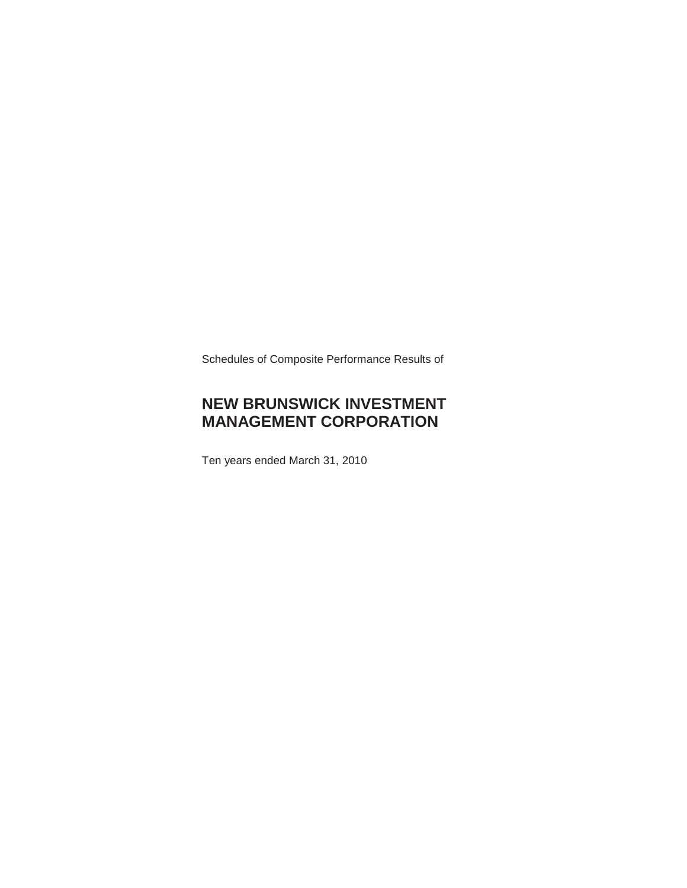Schedules of Composite Performance Results of

## **NEW BRUNSWICK INVESTMENT MANAGEMENT CORPORATION**

Ten years ended March 31, 2010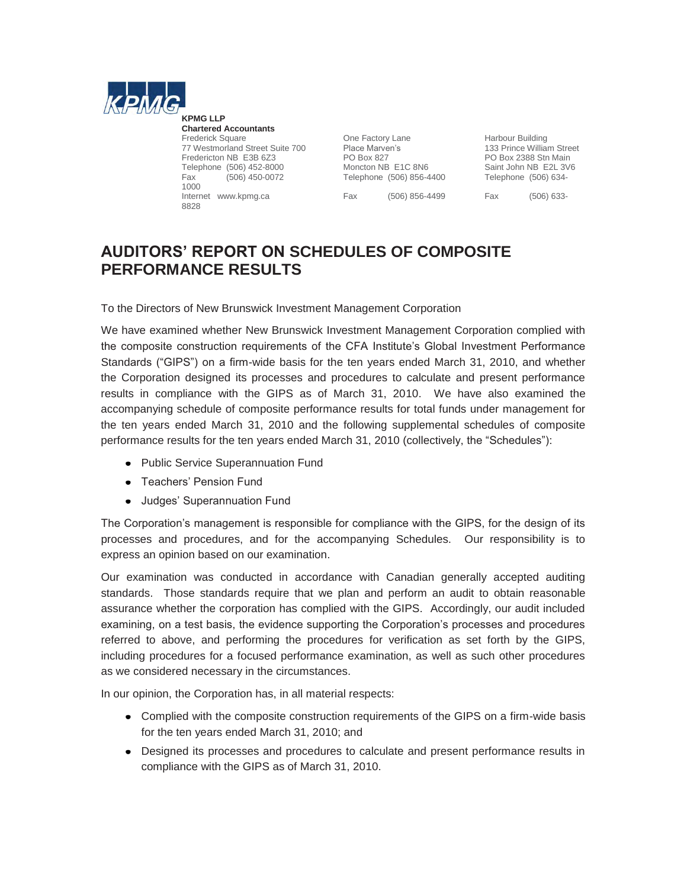

**KPMG LLP Chartered Accountants** Frederick Square **Canadia Struck Cone Factory Lane** Frederick Square Cone Factory Lane **Harbour Building**<br>The Must Place Marven's Cone 133 Prince William Street 77 Westmorland Street Suite 700 Place Marve<br>Fredericton NB E3B 6Z3 PO Box 827 Telephone (506) 452-8000 Moncton NB E1C 8N6 Saint John NB E2L 3V6<br>
Fax (506) 450-0072 Telephone (506) 856-4400 Telephone (506) 634-Fax (506) 450-0072 Telephone (506) 856-4400 1000 Internet www.kpmg.ca Fax (506) 856-4499 Fax (506) 633- 8828

Fredericton NB E1C 8N6<br>
Fred Box 2388 Stn Main<br>
Moncton NB E1C 8N6<br>
Saint John NB E2L 3V

## **AUDITORS' REPORT ON SCHEDULES OF COMPOSITE PERFORMANCE RESULTS**

To the Directors of New Brunswick Investment Management Corporation

We have examined whether New Brunswick Investment Management Corporation complied with the composite construction requirements of the CFA Institute's Global Investment Performance Standards ("GIPS") on a firm-wide basis for the ten years ended March 31, 2010, and whether the Corporation designed its processes and procedures to calculate and present performance results in compliance with the GIPS as of March 31, 2010. We have also examined the accompanying schedule of composite performance results for total funds under management for the ten years ended March 31, 2010 and the following supplemental schedules of composite performance results for the ten years ended March 31, 2010 (collectively, the "Schedules"):

- Public Service Superannuation Fund
- Teachers' Pension Fund
- Judges' Superannuation Fund

The Corporation's management is responsible for compliance with the GIPS, for the design of its processes and procedures, and for the accompanying Schedules. Our responsibility is to express an opinion based on our examination.

Our examination was conducted in accordance with Canadian generally accepted auditing standards. Those standards require that we plan and perform an audit to obtain reasonable assurance whether the corporation has complied with the GIPS. Accordingly, our audit included examining, on a test basis, the evidence supporting the Corporation's processes and procedures referred to above, and performing the procedures for verification as set forth by the GIPS, including procedures for a focused performance examination, as well as such other procedures as we considered necessary in the circumstances.

In our opinion, the Corporation has, in all material respects:

- Complied with the composite construction requirements of the GIPS on a firm-wide basis for the ten years ended March 31, 2010; and
- Designed its processes and procedures to calculate and present performance results in compliance with the GIPS as of March 31, 2010.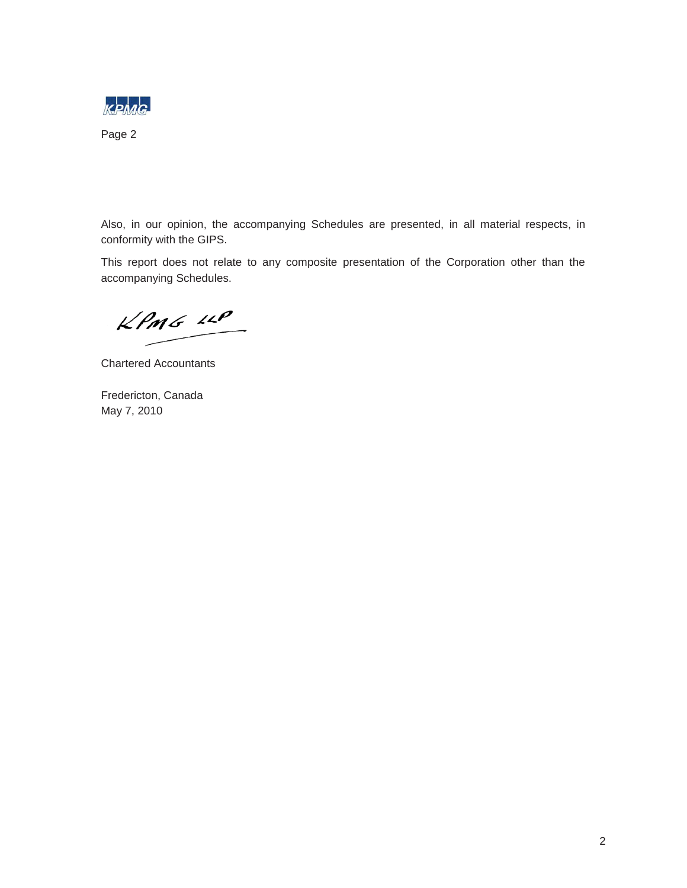

Page 2

Also, in our opinion, the accompanying Schedules are presented, in all material respects, in conformity with the GIPS.

This report does not relate to any composite presentation of the Corporation other than the accompanying Schedules.

KPMG LLP

Chartered Accountants

Fredericton, Canada May 7, 2010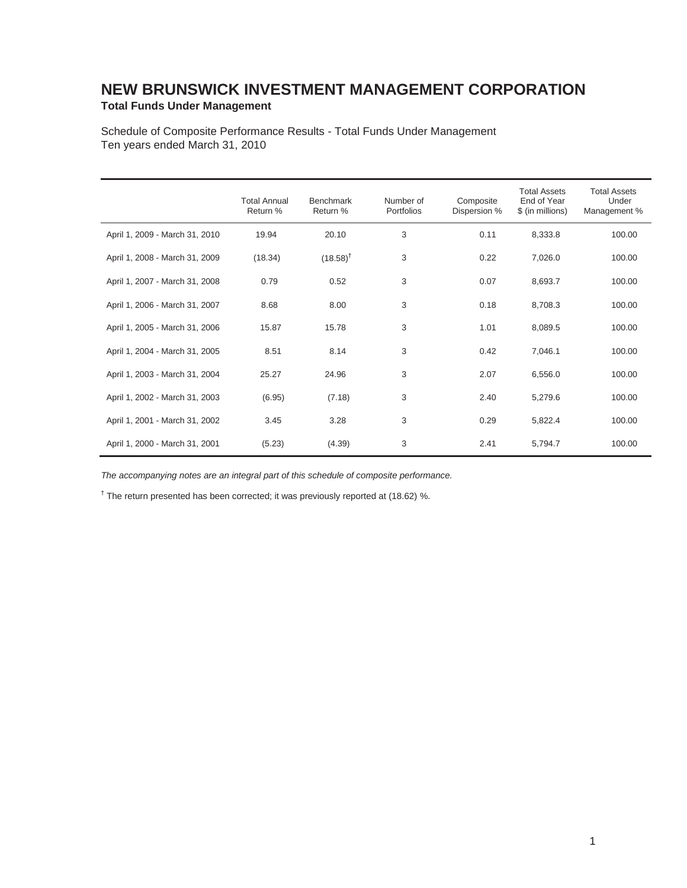### **NEW BRUNSWICK INVESTMENT MANAGEMENT CORPORATION Total Funds Under Management**

Schedule of Composite Performance Results - Total Funds Under Management Ten years ended March 31, 2010

|                                | <b>Total Annual</b><br>Return % | <b>Benchmark</b><br>Return % | Number of<br>Portfolios | Composite<br>Dispersion % | <b>Total Assets</b><br>End of Year<br>\$ (in millions) | <b>Total Assets</b><br>Under<br>Management % |
|--------------------------------|---------------------------------|------------------------------|-------------------------|---------------------------|--------------------------------------------------------|----------------------------------------------|
| April 1, 2009 - March 31, 2010 | 19.94                           | 20.10                        | 3                       | 0.11                      | 8,333.8                                                | 100.00                                       |
| April 1, 2008 - March 31, 2009 | (18.34)                         | $(18.58)^{T}$                | 3                       | 0.22                      | 7,026.0                                                | 100.00                                       |
| April 1, 2007 - March 31, 2008 | 0.79                            | 0.52                         | 3                       | 0.07                      | 8,693.7                                                | 100.00                                       |
| April 1, 2006 - March 31, 2007 | 8.68                            | 8.00                         | 3                       | 0.18                      | 8,708.3                                                | 100.00                                       |
| April 1, 2005 - March 31, 2006 | 15.87                           | 15.78                        | 3                       | 1.01                      | 8,089.5                                                | 100.00                                       |
| April 1, 2004 - March 31, 2005 | 8.51                            | 8.14                         | 3                       | 0.42                      | 7,046.1                                                | 100.00                                       |
| April 1, 2003 - March 31, 2004 | 25.27                           | 24.96                        | 3                       | 2.07                      | 6,556.0                                                | 100.00                                       |
| April 1, 2002 - March 31, 2003 | (6.95)                          | (7.18)                       | 3                       | 2.40                      | 5,279.6                                                | 100.00                                       |
| April 1, 2001 - March 31, 2002 | 3.45                            | 3.28                         | 3                       | 0.29                      | 5,822.4                                                | 100.00                                       |
| April 1, 2000 - March 31, 2001 | (5.23)                          | (4.39)                       | 3                       | 2.41                      | 5,794.7                                                | 100.00                                       |

*The accompanying notes are an integral part of this schedule of composite performance.* 

<sup>†</sup> The return presented has been corrected; it was previously reported at (18.62) %.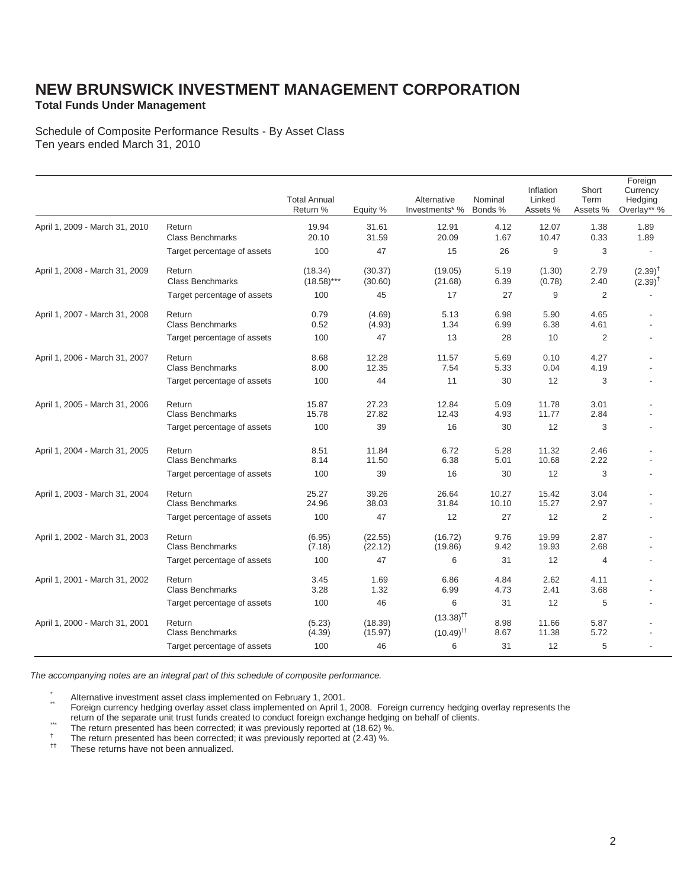### **Total Funds Under Management**

Schedule of Composite Performance Results - By Asset Class Ten years ended March 31, 2010

|                                |                                   | <b>Total Annual</b><br>Return % | Equity %           | Alternative<br>Investments* %                      | Nominal<br>Bonds % | Inflation<br>Linked<br>Assets % | Short<br>Term<br>Assets % | Foreign<br>Currency<br>Hedging<br>Overlay** % |
|--------------------------------|-----------------------------------|---------------------------------|--------------------|----------------------------------------------------|--------------------|---------------------------------|---------------------------|-----------------------------------------------|
| April 1, 2009 - March 31, 2010 | Return<br><b>Class Benchmarks</b> | 19.94<br>20.10                  | 31.61<br>31.59     | 12.91<br>20.09                                     | 4.12<br>1.67       | 12.07<br>10.47                  | 1.38<br>0.33              | 1.89<br>1.89                                  |
|                                | Target percentage of assets       | 100                             | 47                 | 15                                                 | 26                 | 9                               | 3                         |                                               |
| April 1, 2008 - March 31, 2009 | Return<br><b>Class Benchmarks</b> | (18.34)<br>$(18.58)$ ***        | (30.37)<br>(30.60) | (19.05)<br>(21.68)                                 | 5.19<br>6.39       | (1.30)<br>(0.78)                | 2.79<br>2.40              | $(2.39)^{T}$<br>$(2.39)^T$                    |
|                                | Target percentage of assets       | 100                             | 45                 | 17                                                 | 27                 | 9                               | 2                         |                                               |
| April 1, 2007 - March 31, 2008 | Return<br><b>Class Benchmarks</b> | 0.79<br>0.52                    | (4.69)<br>(4.93)   | 5.13<br>1.34                                       | 6.98<br>6.99       | 5.90<br>6.38                    | 4.65<br>4.61              |                                               |
|                                | Target percentage of assets       | 100                             | 47                 | 13                                                 | 28                 | 10                              | 2                         |                                               |
| April 1, 2006 - March 31, 2007 | Return<br><b>Class Benchmarks</b> | 8.68<br>8.00                    | 12.28<br>12.35     | 11.57<br>7.54                                      | 5.69<br>5.33       | 0.10<br>0.04                    | 4.27<br>4.19              |                                               |
|                                | Target percentage of assets       | 100                             | 44                 | 11                                                 | 30                 | 12                              | 3                         |                                               |
| April 1, 2005 - March 31, 2006 | Return<br><b>Class Benchmarks</b> | 15.87<br>15.78                  | 27.23<br>27.82     | 12.84<br>12.43                                     | 5.09<br>4.93       | 11.78<br>11.77                  | 3.01<br>2.84              |                                               |
|                                | Target percentage of assets       | 100                             | 39                 | 16                                                 | 30                 | 12                              | 3                         |                                               |
| April 1, 2004 - March 31, 2005 | Return<br><b>Class Benchmarks</b> | 8.51<br>8.14                    | 11.84<br>11.50     | 6.72<br>6.38                                       | 5.28<br>5.01       | 11.32<br>10.68                  | 2.46<br>2.22              |                                               |
|                                | Target percentage of assets       | 100                             | 39                 | 16                                                 | 30                 | 12                              | 3                         |                                               |
| April 1, 2003 - March 31, 2004 | Return<br><b>Class Benchmarks</b> | 25.27<br>24.96                  | 39.26<br>38.03     | 26.64<br>31.84                                     | 10.27<br>10.10     | 15.42<br>15.27                  | 3.04<br>2.97              |                                               |
|                                | Target percentage of assets       | 100                             | 47                 | 12                                                 | 27                 | 12                              | 2                         |                                               |
| April 1, 2002 - March 31, 2003 | Return<br><b>Class Benchmarks</b> | (6.95)<br>(7.18)                | (22.55)<br>(22.12) | (16.72)<br>(19.86)                                 | 9.76<br>9.42       | 19.99<br>19.93                  | 2.87<br>2.68              |                                               |
|                                | Target percentage of assets       | 100                             | 47                 | 6                                                  | 31                 | 12                              | $\overline{4}$            |                                               |
| April 1, 2001 - March 31, 2002 | Return<br><b>Class Benchmarks</b> | 3.45<br>3.28                    | 1.69<br>1.32       | 6.86<br>6.99                                       | 4.84<br>4.73       | 2.62<br>2.41                    | 4.11<br>3.68              |                                               |
|                                | Target percentage of assets       | 100                             | 46                 | 6                                                  | 31                 | 12                              | 5                         |                                               |
| April 1, 2000 - March 31, 2001 | Return<br><b>Class Benchmarks</b> | (5.23)<br>(4.39)                | (18.39)<br>(15.97) | $(13.38)$ <sup>††</sup><br>$(10.49)$ <sup>††</sup> | 8.98<br>8.67       | 11.66<br>11.38                  | 5.87<br>5.72              |                                               |
|                                | Target percentage of assets       | 100                             | 46                 | 6                                                  | 31                 | 12                              | 5                         |                                               |

*The accompanying notes are an integral part of this schedule of composite performance.* 

\* Alternative investment asset class implemented on February 1, 2001.<br>\* Foreign currency hedging overlay asset class implemented on April 1, 2008. Foreign currency hedging overlay represents the<br>\* return of the separate un

- The return of the separate unit trust runds created to conduct foreign exchange neughing<br>The return presented has been corrected; it was previously reported at (18.62) %.<br>The return presented has been corrected; it was pre
- 
-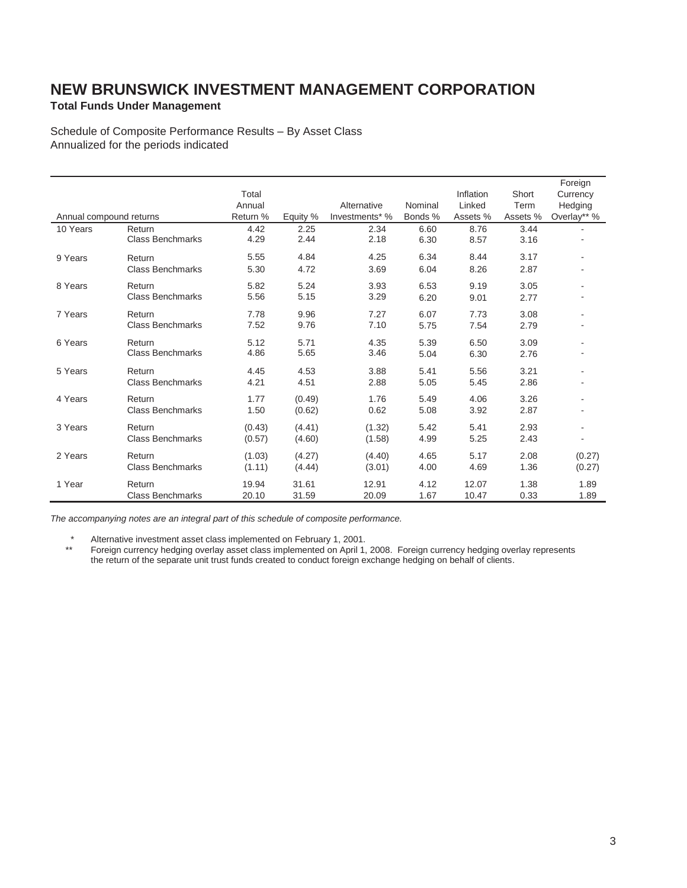### **Total Funds Under Management**

Schedule of Composite Performance Results – By Asset Class Annualized for the periods indicated

|                         |                         |          |          |                |         |           |          | Foreign                  |
|-------------------------|-------------------------|----------|----------|----------------|---------|-----------|----------|--------------------------|
|                         |                         | Total    |          |                |         | Inflation | Short    | Currency                 |
|                         |                         | Annual   |          | Alternative    | Nominal | Linked    | Term     | Hedging                  |
| Annual compound returns |                         | Return % | Equity % | Investments* % | Bonds % | Assets %  | Assets % | Overlay** %              |
| 10 Years                | Return                  | 4.42     | 2.25     | 2.34           | 6.60    | 8.76      | 3.44     |                          |
|                         | <b>Class Benchmarks</b> | 4.29     | 2.44     | 2.18           | 6.30    | 8.57      | 3.16     |                          |
| 9 Years                 | Return                  | 5.55     | 4.84     | 4.25           | 6.34    | 8.44      | 3.17     | $\overline{\phantom{a}}$ |
|                         | <b>Class Benchmarks</b> | 5.30     | 4.72     | 3.69           | 6.04    | 8.26      | 2.87     |                          |
| 8 Years                 | Return                  | 5.82     | 5.24     | 3.93           | 6.53    | 9.19      | 3.05     |                          |
|                         | <b>Class Benchmarks</b> | 5.56     | 5.15     | 3.29           | 6.20    | 9.01      | 2.77     |                          |
| 7 Years                 | Return                  | 7.78     | 9.96     | 7.27           | 6.07    | 7.73      | 3.08     |                          |
|                         | <b>Class Benchmarks</b> | 7.52     | 9.76     | 7.10           | 5.75    | 7.54      | 2.79     |                          |
| 6 Years                 | Return                  | 5.12     | 5.71     | 4.35           | 5.39    | 6.50      | 3.09     |                          |
|                         | <b>Class Benchmarks</b> | 4.86     | 5.65     | 3.46           | 5.04    | 6.30      | 2.76     |                          |
| 5 Years                 | Return                  | 4.45     | 4.53     | 3.88           | 5.41    | 5.56      | 3.21     | $\overline{\phantom{a}}$ |
|                         | Class Benchmarks        | 4.21     | 4.51     | 2.88           | 5.05    | 5.45      | 2.86     |                          |
| 4 Years                 | Return                  | 1.77     | (0.49)   | 1.76           | 5.49    | 4.06      | 3.26     |                          |
|                         | <b>Class Benchmarks</b> | 1.50     | (0.62)   | 0.62           | 5.08    | 3.92      | 2.87     |                          |
| 3 Years                 | Return                  | (0.43)   | (4.41)   | (1.32)         | 5.42    | 5.41      | 2.93     | ٠                        |
|                         | <b>Class Benchmarks</b> | (0.57)   | (4.60)   | (1.58)         | 4.99    | 5.25      | 2.43     | ٠                        |
| 2 Years                 | Return                  | (1.03)   | (4.27)   | (4.40)         | 4.65    | 5.17      | 2.08     | (0.27)                   |
|                         | <b>Class Benchmarks</b> | (1.11)   | (4.44)   | (3.01)         | 4.00    | 4.69      | 1.36     | (0.27)                   |
| 1 Year                  | Return                  | 19.94    | 31.61    | 12.91          | 4.12    | 12.07     | 1.38     | 1.89                     |
|                         | <b>Class Benchmarks</b> | 20.10    | 31.59    | 20.09          | 1.67    | 10.47     | 0.33     | 1.89                     |

*The accompanying notes are an integral part of this schedule of composite performance.* 

\* Alternative investment asset class implemented on February 1, 2001.

 \*\* Foreign currency hedging overlay asset class implemented on April 1, 2008. Foreign currency hedging overlay represents the return of the separate unit trust funds created to conduct foreign exchange hedging on behalf of clients.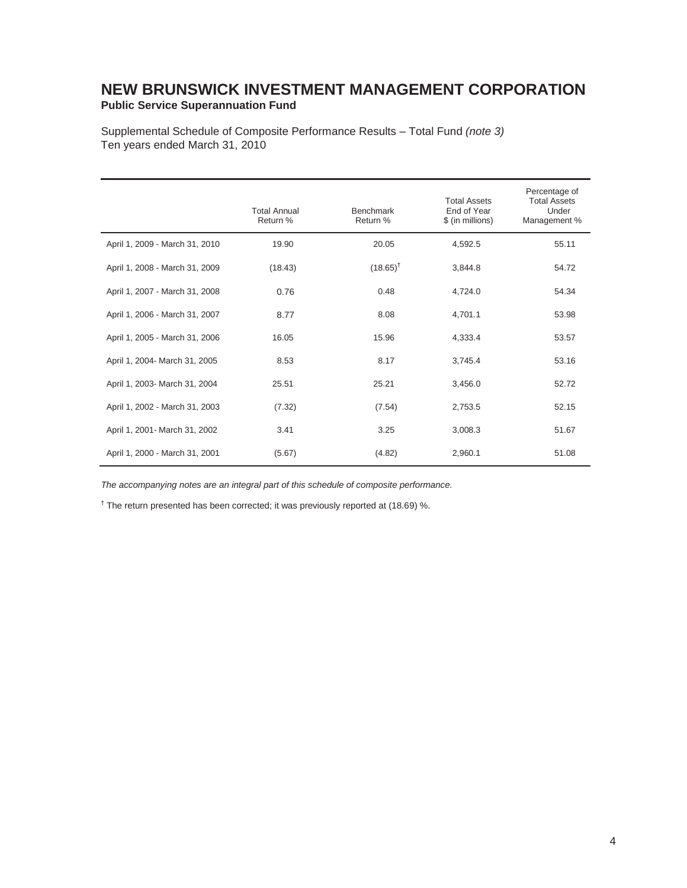**Public Service Superannuation Fund** 

Supplemental Schedule of Composite Performance Results – Total Fund *(note 3)*  Ten years ended March 31, 2010

|                                | <b>Total Annual</b><br>Return % | <b>Benchmark</b><br>Return % | <b>Total Assets</b><br>End of Year<br>\$ (in millions) | Percentage of<br><b>Total Assets</b><br>Under<br>Management % |
|--------------------------------|---------------------------------|------------------------------|--------------------------------------------------------|---------------------------------------------------------------|
| April 1, 2009 - March 31, 2010 | 19.90                           | 20.05                        | 4,592.5                                                | 55.11                                                         |
| April 1, 2008 - March 31, 2009 | (18.43)                         | $(18.65)^{\dagger}$          | 3,844.8                                                | 54.72                                                         |
| April 1, 2007 - March 31, 2008 | 0.76                            | 0.48                         | 4,724.0                                                | 54.34                                                         |
| April 1, 2006 - March 31, 2007 | 8.77                            | 8.08                         | 4,701.1                                                | 53.98                                                         |
| April 1, 2005 - March 31, 2006 | 16.05                           | 15.96                        | 4,333.4                                                | 53.57                                                         |
| April 1, 2004- March 31, 2005  | 8.53                            | 8.17                         | 3,745.4                                                | 53.16                                                         |
| April 1, 2003- March 31, 2004  | 25.51                           | 25.21                        | 3,456.0                                                | 52.72                                                         |
| April 1, 2002 - March 31, 2003 | (7.32)                          | (7.54)                       | 2,753.5                                                | 52.15                                                         |
| April 1, 2001- March 31, 2002  | 3.41                            | 3.25                         | 3,008.3                                                | 51.67                                                         |
| April 1, 2000 - March 31, 2001 | (5.67)                          | (4.82)                       | 2,960.1                                                | 51.08                                                         |

*The accompanying notes are an integral part of this schedule of composite performance.* 

<sup>†</sup> The return presented has been corrected; it was previously reported at (18.69) %.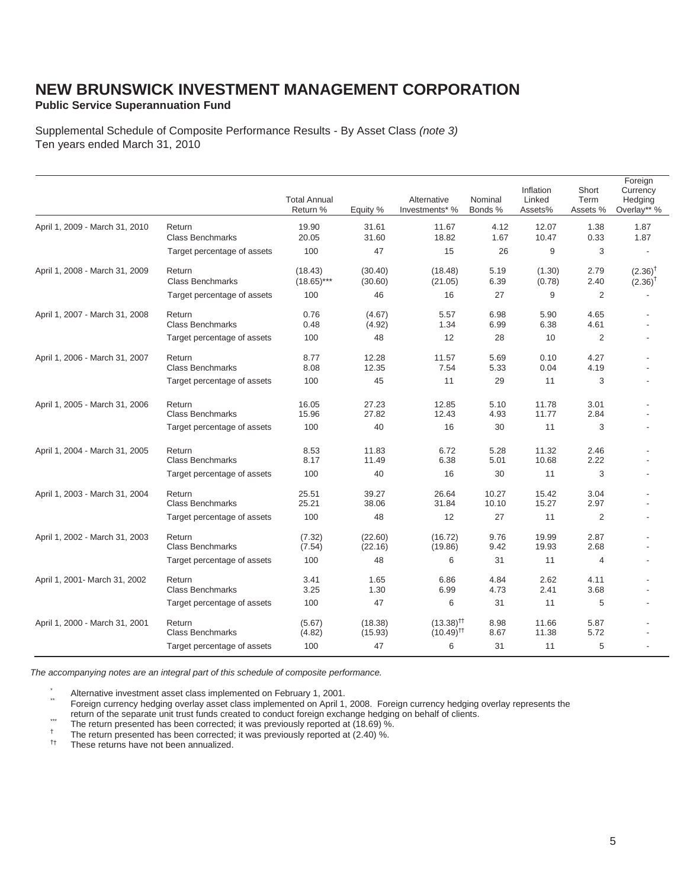### **Public Service Superannuation Fund**

Supplemental Schedule of Composite Performance Results - By Asset Class *(note 3)* Ten years ended March 31, 2010

|                                |                                   | <b>Total Annual</b><br>Return % | Equity %           | Alternative<br>Investments* %                      | Nominal<br>Bonds % | Inflation<br>Linked<br>Assets% | Short<br>Term<br>Assets % | Foreign<br>Currency<br>Hedging<br>Overlay** % |
|--------------------------------|-----------------------------------|---------------------------------|--------------------|----------------------------------------------------|--------------------|--------------------------------|---------------------------|-----------------------------------------------|
| April 1, 2009 - March 31, 2010 | Return<br><b>Class Benchmarks</b> | 19.90<br>20.05                  | 31.61<br>31.60     | 11.67<br>18.82                                     | 4.12<br>1.67       | 12.07<br>10.47                 | 1.38<br>0.33              | 1.87<br>1.87                                  |
|                                | Target percentage of assets       | 100                             | 47                 | 15                                                 | 26                 | 9                              | 3                         |                                               |
| April 1, 2008 - March 31, 2009 | Return<br><b>Class Benchmarks</b> | (18.43)<br>$(18.65)$ ***        | (30.40)<br>(30.60) | (18.48)<br>(21.05)                                 | 5.19<br>6.39       | (1.30)<br>(0.78)               | 2.79<br>2.40              | $(2.36)$ <sup>†</sup><br>$(2.36)^{\dagger}$   |
|                                | Target percentage of assets       | 100                             | 46                 | 16                                                 | 27                 | 9                              | $\overline{2}$            |                                               |
| April 1, 2007 - March 31, 2008 | Return<br><b>Class Benchmarks</b> | 0.76<br>0.48                    | (4.67)<br>(4.92)   | 5.57<br>1.34                                       | 6.98<br>6.99       | 5.90<br>6.38                   | 4.65<br>4.61              |                                               |
|                                | Target percentage of assets       | 100                             | 48                 | $12 \overline{ }$                                  | 28                 | 10                             | $\overline{2}$            |                                               |
| April 1, 2006 - March 31, 2007 | Return<br><b>Class Benchmarks</b> | 8.77<br>8.08                    | 12.28<br>12.35     | 11.57<br>7.54                                      | 5.69<br>5.33       | 0.10<br>0.04                   | 4.27<br>4.19              |                                               |
|                                | Target percentage of assets       | 100                             | 45                 | 11                                                 | 29                 | 11                             | 3                         |                                               |
| April 1, 2005 - March 31, 2006 | Return<br><b>Class Benchmarks</b> | 16.05<br>15.96                  | 27.23<br>27.82     | 12.85<br>12.43                                     | 5.10<br>4.93       | 11.78<br>11.77                 | 3.01<br>2.84              |                                               |
|                                | Target percentage of assets       | 100                             | 40                 | 16                                                 | 30                 | 11                             | 3                         |                                               |
| April 1, 2004 - March 31, 2005 | Return<br><b>Class Benchmarks</b> | 8.53<br>8.17                    | 11.83<br>11.49     | 6.72<br>6.38                                       | 5.28<br>5.01       | 11.32<br>10.68                 | 2.46<br>2.22              |                                               |
|                                | Target percentage of assets       | 100                             | 40                 | 16                                                 | 30                 | 11                             | 3                         |                                               |
| April 1, 2003 - March 31, 2004 | Return<br><b>Class Benchmarks</b> | 25.51<br>25.21                  | 39.27<br>38.06     | 26.64<br>31.84                                     | 10.27<br>10.10     | 15.42<br>15.27                 | 3.04<br>2.97              |                                               |
|                                | Target percentage of assets       | 100                             | 48                 | 12                                                 | 27                 | 11                             | $\overline{2}$            |                                               |
| April 1, 2002 - March 31, 2003 | Return<br><b>Class Benchmarks</b> | (7.32)<br>(7.54)                | (22.60)<br>(22.16) | (16.72)<br>(19.86)                                 | 9.76<br>9.42       | 19.99<br>19.93                 | 2.87<br>2.68              |                                               |
|                                | Target percentage of assets       | 100                             | 48                 | 6                                                  | 31                 | 11                             | 4                         |                                               |
| April 1, 2001- March 31, 2002  | Return<br><b>Class Benchmarks</b> | 3.41<br>3.25                    | 1.65<br>1.30       | 6.86<br>6.99                                       | 4.84<br>4.73       | 2.62<br>2.41                   | 4.11<br>3.68              |                                               |
|                                | Target percentage of assets       | 100                             | 47                 | 6                                                  | 31                 | 11                             | 5                         |                                               |
| April 1, 2000 - March 31, 2001 | Return<br><b>Class Benchmarks</b> | (5.67)<br>(4.82)                | (18.38)<br>(15.93) | $(13.38)$ <sup>††</sup><br>$(10.49)$ <sup>††</sup> | 8.98<br>8.67       | 11.66<br>11.38                 | 5.87<br>5.72              |                                               |
|                                | Target percentage of assets       | 100                             | 47                 | 6                                                  | 31                 | 11                             | 5                         |                                               |

*The accompanying notes are an integral part of this schedule of composite performance.* 

\* Alternative investment asset class implemented on February 1, 2001.<br>\* Foreign currency hedging overlay asset class implemented on April 1, 2008. Foreign currency hedging overlay represents the<br>\* return of the separate un

The return presented has been corrected; it was previously reported at (18.69) %.<br>The return presented has been corrected; it was previously reported at (18.69) %.<br>The return presented has been corrected; it was previously

These returns have not been annualized.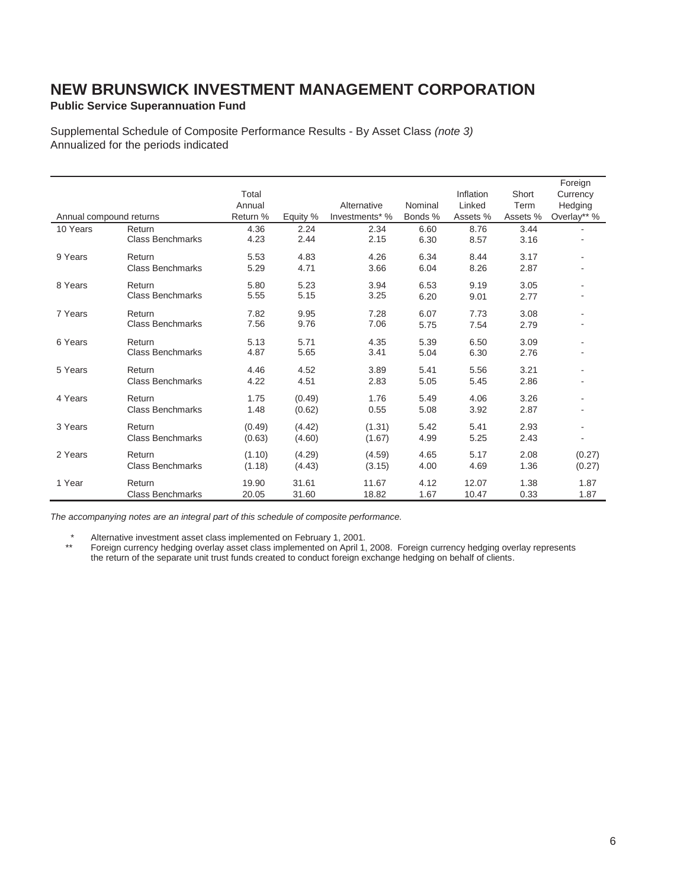**Public Service Superannuation Fund** 

Supplemental Schedule of Composite Performance Results - By Asset Class *(note 3)* Annualized for the periods indicated

|                         |                         |          |          |                |         |           |          | Foreign                  |
|-------------------------|-------------------------|----------|----------|----------------|---------|-----------|----------|--------------------------|
|                         |                         | Total    |          |                |         | Inflation | Short    | Currency                 |
|                         |                         | Annual   |          | Alternative    | Nominal | Linked    | Term     | Hedging                  |
| Annual compound returns |                         | Return % | Equity % | Investments* % | Bonds % | Assets %  | Assets % | Overlay** %              |
| 10 Years                | Return                  | 4.36     | 2.24     | 2.34           | 6.60    | 8.76      | 3.44     |                          |
|                         | <b>Class Benchmarks</b> | 4.23     | 2.44     | 2.15           | 6.30    | 8.57      | 3.16     |                          |
| 9 Years                 | Return                  | 5.53     | 4.83     | 4.26           | 6.34    | 8.44      | 3.17     | ٠                        |
|                         | <b>Class Benchmarks</b> | 5.29     | 4.71     | 3.66           | 6.04    | 8.26      | 2.87     |                          |
| 8 Years                 | Return                  | 5.80     | 5.23     | 3.94           | 6.53    | 9.19      | 3.05     |                          |
|                         | <b>Class Benchmarks</b> | 5.55     | 5.15     | 3.25           | 6.20    | 9.01      | 2.77     |                          |
| 7 Years                 | Return                  | 7.82     | 9.95     | 7.28           | 6.07    | 7.73      | 3.08     |                          |
|                         | <b>Class Benchmarks</b> | 7.56     | 9.76     | 7.06           | 5.75    | 7.54      | 2.79     |                          |
| 6 Years                 | Return                  | 5.13     | 5.71     | 4.35           | 5.39    | 6.50      | 3.09     |                          |
|                         | <b>Class Benchmarks</b> | 4.87     | 5.65     | 3.41           | 5.04    | 6.30      | 2.76     |                          |
| 5 Years                 | Return                  | 4.46     | 4.52     | 3.89           | 5.41    | 5.56      | 3.21     | $\overline{\phantom{a}}$ |
|                         | <b>Class Benchmarks</b> | 4.22     | 4.51     | 2.83           | 5.05    | 5.45      | 2.86     |                          |
| 4 Years                 | Return                  | 1.75     | (0.49)   | 1.76           | 5.49    | 4.06      | 3.26     |                          |
|                         | <b>Class Benchmarks</b> | 1.48     | (0.62)   | 0.55           | 5.08    | 3.92      | 2.87     |                          |
| 3 Years                 | Return                  | (0.49)   | (4.42)   | (1.31)         | 5.42    | 5.41      | 2.93     |                          |
|                         | <b>Class Benchmarks</b> | (0.63)   | (4.60)   | (1.67)         | 4.99    | 5.25      | 2.43     |                          |
| 2 Years                 | Return                  | (1.10)   | (4.29)   | (4.59)         | 4.65    | 5.17      | 2.08     | (0.27)                   |
|                         | <b>Class Benchmarks</b> | (1.18)   | (4.43)   | (3.15)         | 4.00    | 4.69      | 1.36     | (0.27)                   |
| 1 Year                  | Return                  | 19.90    | 31.61    | 11.67          | 4.12    | 12.07     | 1.38     | 1.87                     |
|                         | <b>Class Benchmarks</b> | 20.05    | 31.60    | 18.82          | 1.67    | 10.47     | 0.33     | 1.87                     |

*The accompanying notes are an integral part of this schedule of composite performance.* 

\* Alternative investment asset class implemented on February 1, 2001.

Foreign currency hedging overlay asset class implemented on April 1, 2008. Foreign currency hedging overlay represents the return of the separate unit trust funds created to conduct foreign exchange hedging on behalf of clients.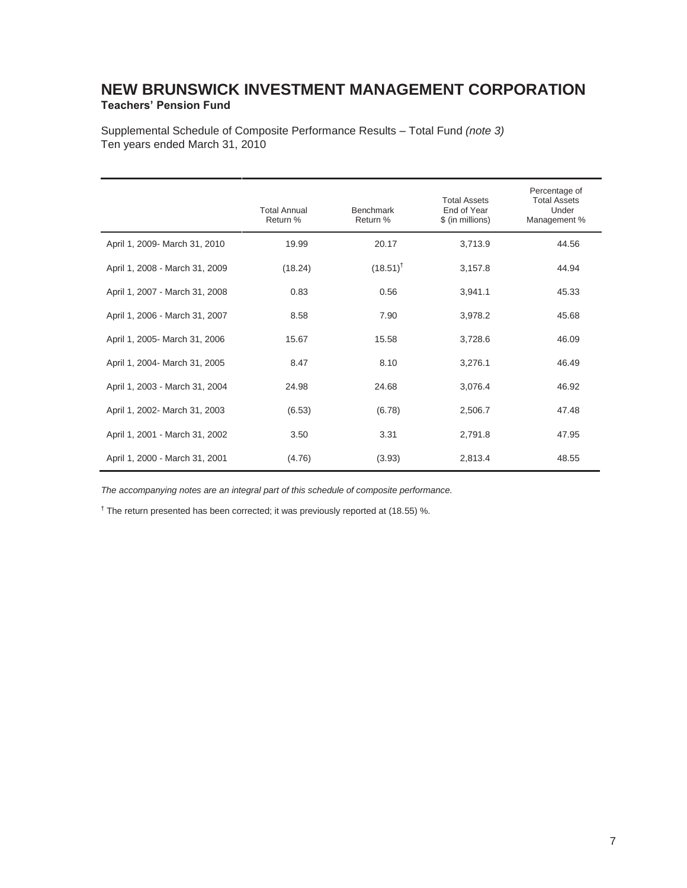### **NEW BRUNSWICK INVESTMENT MANAGEMENT CORPORATION Teachers' Pension Fund**

Supplemental Schedule of Composite Performance Results – Total Fund *(note 3)*  Ten years ended March 31, 2010

|                                | <b>Total Annual</b><br>Return % | Benchmark<br>Return % | <b>Total Assets</b><br>End of Year<br>\$ (in millions) | Percentage of<br><b>Total Assets</b><br>Under<br>Management % |
|--------------------------------|---------------------------------|-----------------------|--------------------------------------------------------|---------------------------------------------------------------|
| April 1, 2009- March 31, 2010  | 19.99                           | 20.17                 | 3,713.9                                                | 44.56                                                         |
| April 1, 2008 - March 31, 2009 | (18.24)                         | $(18.51)^{t}$         | 3,157.8                                                | 44.94                                                         |
| April 1, 2007 - March 31, 2008 | 0.83                            | 0.56                  | 3,941.1                                                | 45.33                                                         |
| April 1, 2006 - March 31, 2007 | 8.58                            | 7.90                  | 3,978.2                                                | 45.68                                                         |
| April 1, 2005- March 31, 2006  | 15.67                           | 15.58                 | 3,728.6                                                | 46.09                                                         |
| April 1, 2004- March 31, 2005  | 8.47                            | 8.10                  | 3,276.1                                                | 46.49                                                         |
| April 1, 2003 - March 31, 2004 | 24.98                           | 24.68                 | 3,076.4                                                | 46.92                                                         |
| April 1, 2002- March 31, 2003  | (6.53)                          | (6.78)                | 2,506.7                                                | 47.48                                                         |
| April 1, 2001 - March 31, 2002 | 3.50                            | 3.31                  | 2,791.8                                                | 47.95                                                         |
| April 1, 2000 - March 31, 2001 | (4.76)                          | (3.93)                | 2,813.4                                                | 48.55                                                         |

*The accompanying notes are an integral part of this schedule of composite performance.* 

<sup>†</sup> The return presented has been corrected; it was previously reported at (18.55) %.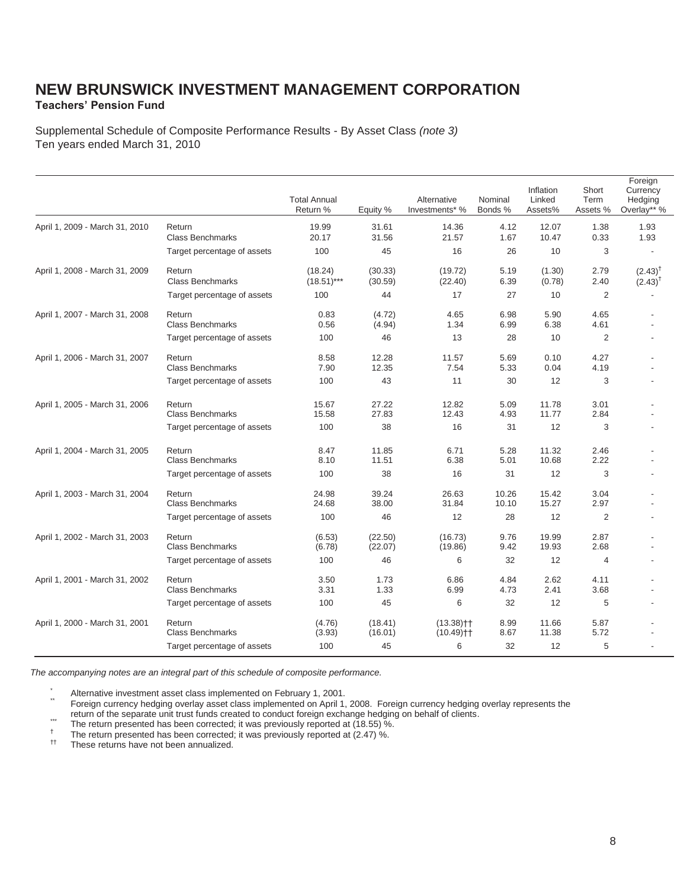**Teachers' Pension Fund**

Supplemental Schedule of Composite Performance Results - By Asset Class *(note 3)*  Ten years ended March 31, 2010

|                                |                                   | <b>Total Annual</b><br>Return % | Equity %           | Alternative<br>Investments* %            | Nominal<br>Bonds % | Inflation<br>Linked<br>Assets% | Short<br>Term<br>Assets % | Foreign<br>Currency<br>Hedging<br>Overlay** % |
|--------------------------------|-----------------------------------|---------------------------------|--------------------|------------------------------------------|--------------------|--------------------------------|---------------------------|-----------------------------------------------|
| April 1, 2009 - March 31, 2010 | Return<br><b>Class Benchmarks</b> | 19.99<br>20.17                  | 31.61<br>31.56     | 14.36<br>21.57                           | 4.12<br>1.67       | 12.07<br>10.47                 | 1.38<br>0.33              | 1.93<br>1.93                                  |
|                                | Target percentage of assets       | 100                             | 45                 | 16                                       | 26                 | 10                             | 3                         |                                               |
| April 1, 2008 - March 31, 2009 | Return<br><b>Class Benchmarks</b> | (18.24)<br>$(18.51)$ ***        | (30.33)<br>(30.59) | (19.72)<br>(22.40)                       | 5.19<br>6.39       | (1.30)<br>(0.78)               | 2.79<br>2.40              | $(2.43)^{T}$<br>$(2.43)^{T}$                  |
|                                | Target percentage of assets       | 100                             | 44                 | 17                                       | 27                 | 10                             | $\overline{2}$            |                                               |
| April 1, 2007 - March 31, 2008 | Return<br><b>Class Benchmarks</b> | 0.83<br>0.56                    | (4.72)<br>(4.94)   | 4.65<br>1.34                             | 6.98<br>6.99       | 5.90<br>6.38                   | 4.65<br>4.61              |                                               |
|                                | Target percentage of assets       | 100                             | 46                 | 13                                       | 28                 | 10                             | 2                         |                                               |
| April 1, 2006 - March 31, 2007 | Return<br><b>Class Benchmarks</b> | 8.58<br>7.90                    | 12.28<br>12.35     | 11.57<br>7.54                            | 5.69<br>5.33       | 0.10<br>0.04                   | 4.27<br>4.19              |                                               |
|                                | Target percentage of assets       | 100                             | 43                 | 11                                       | 30                 | 12                             | 3                         |                                               |
| April 1, 2005 - March 31, 2006 | Return<br><b>Class Benchmarks</b> | 15.67<br>15.58                  | 27.22<br>27.83     | 12.82<br>12.43                           | 5.09<br>4.93       | 11.78<br>11.77                 | 3.01<br>2.84              |                                               |
|                                | Target percentage of assets       | 100                             | 38                 | 16                                       | 31                 | 12                             | 3                         |                                               |
| April 1, 2004 - March 31, 2005 | Return<br><b>Class Benchmarks</b> | 8.47<br>8.10                    | 11.85<br>11.51     | 6.71<br>6.38                             | 5.28<br>5.01       | 11.32<br>10.68                 | 2.46<br>2.22              |                                               |
|                                | Target percentage of assets       | 100                             | 38                 | 16                                       | 31                 | 12                             | 3                         |                                               |
| April 1, 2003 - March 31, 2004 | Return<br><b>Class Benchmarks</b> | 24.98<br>24.68                  | 39.24<br>38.00     | 26.63<br>31.84                           | 10.26<br>10.10     | 15.42<br>15.27                 | 3.04<br>2.97              |                                               |
|                                | Target percentage of assets       | 100                             | 46                 | 12                                       | 28                 | 12                             | 2                         |                                               |
| April 1, 2002 - March 31, 2003 | Return<br><b>Class Benchmarks</b> | (6.53)<br>(6.78)                | (22.50)<br>(22.07) | (16.73)<br>(19.86)                       | 9.76<br>9.42       | 19.99<br>19.93                 | 2.87<br>2.68              |                                               |
|                                | Target percentage of assets       | 100                             | 46                 | 6                                        | 32                 | 12                             | $\overline{4}$            |                                               |
| April 1, 2001 - March 31, 2002 | Return<br><b>Class Benchmarks</b> | 3.50<br>3.31                    | 1.73<br>1.33       | 6.86<br>6.99                             | 4.84<br>4.73       | 2.62<br>2.41                   | 4.11<br>3.68              |                                               |
|                                | Target percentage of assets       | 100                             | 45                 | 6                                        | 32                 | 12                             | 5                         |                                               |
| April 1, 2000 - March 31, 2001 | Return<br><b>Class Benchmarks</b> | (4.76)<br>(3.93)                | (18.41)<br>(16.01) | $(13.38)$ <sup>++</sup><br>$(10.49)$ † † | 8.99<br>8.67       | 11.66<br>11.38                 | 5.87<br>5.72              |                                               |
|                                | Target percentage of assets       | 100                             | 45                 | 6                                        | 32                 | 12                             | 5                         |                                               |

*The accompanying notes are an integral part of this schedule of composite performance.* 

\* Alternative investment asset class implemented on February 1, 2001.<br>\* \* Foreign currency hedging overlay asset class implemented on April 1, 2008. Foreign currency hedging overlay represents the<br>trurn of the separate uni

- The return presented has been corrected; it was previously reported at (18.55) %.<br>The return presented has been corrected; it was previously reported at (18.55) %.<br>The return presented has been corrected; it was previously
-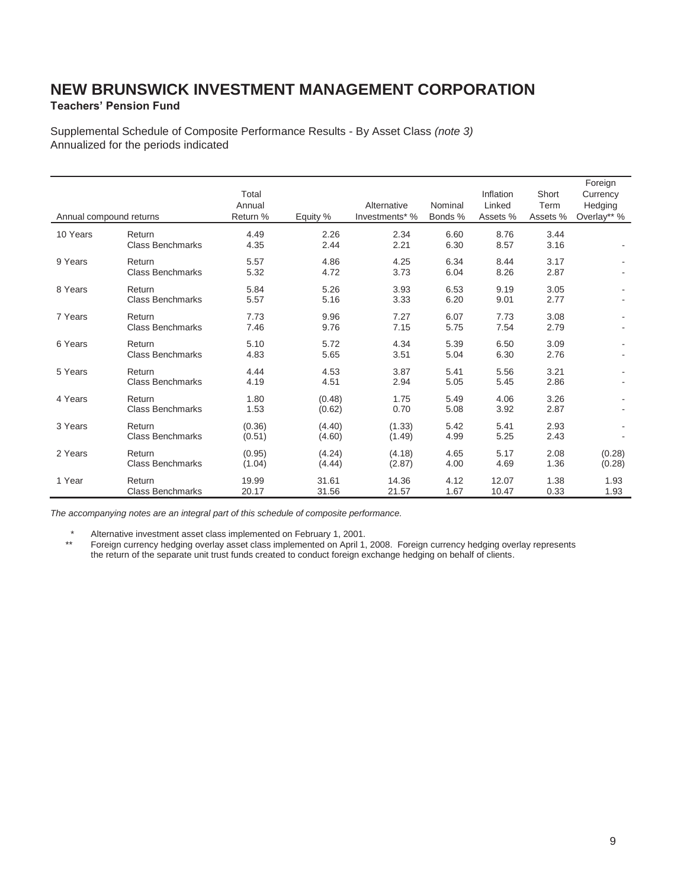### **Teachers' Pension Fund**

Supplemental Schedule of Composite Performance Results - By Asset Class *(note 3)* Annualized for the periods indicated

| Annual compound returns |                                   | Total<br>Annual<br>Return % | Equity %         | Alternative<br>Investments* % | Nominal<br>Bonds % | Inflation<br>Linked<br>Assets % | Short<br>Term<br>Assets % | Foreign<br>Currency<br>Hedging<br>Overlay** % |
|-------------------------|-----------------------------------|-----------------------------|------------------|-------------------------------|--------------------|---------------------------------|---------------------------|-----------------------------------------------|
| 10 Years                | Return<br><b>Class Benchmarks</b> | 4.49<br>4.35                | 2.26<br>2.44     | 2.34<br>2.21                  | 6.60<br>6.30       | 8.76<br>8.57                    | 3.44<br>3.16              |                                               |
| 9 Years                 | Return<br><b>Class Benchmarks</b> | 5.57<br>5.32                | 4.86<br>4.72     | 4.25<br>3.73                  | 6.34<br>6.04       | 8.44<br>8.26                    | 3.17<br>2.87              |                                               |
| 8 Years                 | Return<br><b>Class Benchmarks</b> | 5.84<br>5.57                | 5.26<br>5.16     | 3.93<br>3.33                  | 6.53<br>6.20       | 9.19<br>9.01                    | 3.05<br>2.77              |                                               |
| 7 Years                 | Return<br><b>Class Benchmarks</b> | 7.73<br>7.46                | 9.96<br>9.76     | 7.27<br>7.15                  | 6.07<br>5.75       | 7.73<br>7.54                    | 3.08<br>2.79              |                                               |
| 6 Years                 | Return<br><b>Class Benchmarks</b> | 5.10<br>4.83                | 5.72<br>5.65     | 4.34<br>3.51                  | 5.39<br>5.04       | 6.50<br>6.30                    | 3.09<br>2.76              |                                               |
| 5 Years                 | Return<br><b>Class Benchmarks</b> | 4.44<br>4.19                | 4.53<br>4.51     | 3.87<br>2.94                  | 5.41<br>5.05       | 5.56<br>5.45                    | 3.21<br>2.86              |                                               |
| 4 Years                 | Return<br><b>Class Benchmarks</b> | 1.80<br>1.53                | (0.48)<br>(0.62) | 1.75<br>0.70                  | 5.49<br>5.08       | 4.06<br>3.92                    | 3.26<br>2.87              |                                               |
| 3 Years                 | Return<br><b>Class Benchmarks</b> | (0.36)<br>(0.51)            | (4.40)<br>(4.60) | (1.33)<br>(1.49)              | 5.42<br>4.99       | 5.41<br>5.25                    | 2.93<br>2.43              |                                               |
| 2 Years                 | Return<br><b>Class Benchmarks</b> | (0.95)<br>(1.04)            | (4.24)<br>(4.44) | (4.18)<br>(2.87)              | 4.65<br>4.00       | 5.17<br>4.69                    | 2.08<br>1.36              | (0.28)<br>(0.28)                              |
| 1 Year                  | Return<br><b>Class Benchmarks</b> | 19.99<br>20.17              | 31.61<br>31.56   | 14.36<br>21.57                | 4.12<br>1.67       | 12.07<br>10.47                  | 1.38<br>0.33              | 1.93<br>1.93                                  |

*The accompanying notes are an integral part of this schedule of composite performance.* 

\* Alternative investment asset class implemented on February 1, 2001.

 \*\* Foreign currency hedging overlay asset class implemented on April 1, 2008. Foreign currency hedging overlay represents the return of the separate unit trust funds created to conduct foreign exchange hedging on behalf of clients.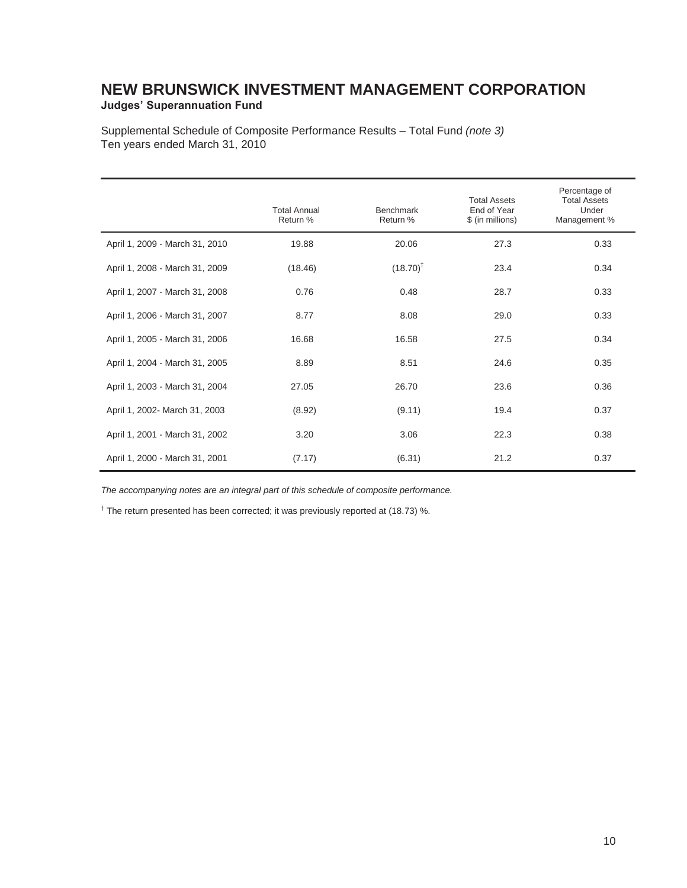### **NEW BRUNSWICK INVESTMENT MANAGEMENT CORPORATION Judges' Superannuation Fund**

Supplemental Schedule of Composite Performance Results – Total Fund *(note 3)*  Ten years ended March 31, 2010

|                                | <b>Total Annual</b><br>Return % | <b>Benchmark</b><br>Return % | <b>Total Assets</b><br>End of Year<br>\$ (in millions) | Percentage of<br><b>Total Assets</b><br>Under<br>Management % |
|--------------------------------|---------------------------------|------------------------------|--------------------------------------------------------|---------------------------------------------------------------|
| April 1, 2009 - March 31, 2010 | 19.88                           | 20.06                        | 27.3                                                   | 0.33                                                          |
| April 1, 2008 - March 31, 2009 | (18.46)                         | $(18.70)^{+}$                | 23.4                                                   | 0.34                                                          |
| April 1, 2007 - March 31, 2008 | 0.76                            | 0.48                         | 28.7                                                   | 0.33                                                          |
| April 1, 2006 - March 31, 2007 | 8.77                            | 8.08                         | 29.0                                                   | 0.33                                                          |
| April 1, 2005 - March 31, 2006 | 16.68                           | 16.58                        | 27.5                                                   | 0.34                                                          |
| April 1, 2004 - March 31, 2005 | 8.89                            | 8.51                         | 24.6                                                   | 0.35                                                          |
| April 1, 2003 - March 31, 2004 | 27.05                           | 26.70                        | 23.6                                                   | 0.36                                                          |
| April 1, 2002- March 31, 2003  | (8.92)                          | (9.11)                       | 19.4                                                   | 0.37                                                          |
| April 1, 2001 - March 31, 2002 | 3.20                            | 3.06                         | 22.3                                                   | 0.38                                                          |
| April 1, 2000 - March 31, 2001 | (7.17)                          | (6.31)                       | 21.2                                                   | 0.37                                                          |

*The accompanying notes are an integral part of this schedule of composite performance.* 

<sup>†</sup> The return presented has been corrected; it was previously reported at (18.73) %.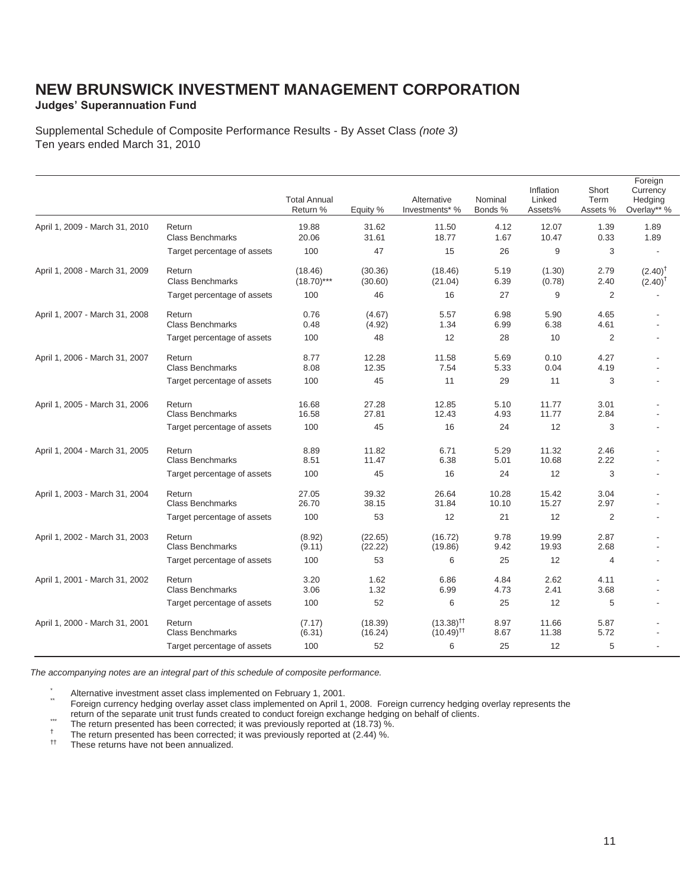### **Judges' Superannuation Fund**

Supplemental Schedule of Composite Performance Results - By Asset Class *(note 3)* Ten years ended March 31, 2010

|                                |                             | <b>Total Annual</b><br>Return % | Equity % | Alternative<br>Investments* % | Nominal<br>Bonds % | Inflation<br>Linked<br>Assets% | Short<br>Term<br>Assets % | Foreign<br>Currency<br>Hedging<br>Overlay** % |
|--------------------------------|-----------------------------|---------------------------------|----------|-------------------------------|--------------------|--------------------------------|---------------------------|-----------------------------------------------|
| April 1, 2009 - March 31, 2010 | Return                      | 19.88                           | 31.62    | 11.50                         | 4.12               | 12.07                          | 1.39                      | 1.89                                          |
|                                | <b>Class Benchmarks</b>     | 20.06                           | 31.61    | 18.77                         | 1.67               | 10.47                          | 0.33                      | 1.89                                          |
|                                | Target percentage of assets | 100                             | 47       | 15                            | 26                 | 9                              | 3                         |                                               |
| April 1, 2008 - March 31, 2009 | Return                      | (18.46)                         | (30.36)  | (18.46)                       | 5.19               | (1.30)                         | 2.79                      | $(2.40)^{T}$                                  |
|                                | <b>Class Benchmarks</b>     | $(18.70)$ ***                   | (30.60)  | (21.04)                       | 6.39               | (0.78)                         | 2.40                      | $(2.40)^T$                                    |
|                                | Target percentage of assets | 100                             | 46       | 16                            | 27                 | 9                              | 2                         |                                               |
| April 1, 2007 - March 31, 2008 | Return                      | 0.76                            | (4.67)   | 5.57                          | 6.98               | 5.90                           | 4.65                      |                                               |
|                                | <b>Class Benchmarks</b>     | 0.48                            | (4.92)   | 1.34                          | 6.99               | 6.38                           | 4.61                      |                                               |
|                                | Target percentage of assets | 100                             | 48       | 12                            | 28                 | 10                             | $\overline{2}$            |                                               |
| April 1, 2006 - March 31, 2007 | Return                      | 8.77                            | 12.28    | 11.58                         | 5.69               | 0.10                           | 4.27                      |                                               |
|                                | <b>Class Benchmarks</b>     | 8.08                            | 12.35    | 7.54                          | 5.33               | 0.04                           | 4.19                      |                                               |
|                                | Target percentage of assets | 100                             | 45       | 11                            | 29                 | 11                             | 3                         |                                               |
| April 1, 2005 - March 31, 2006 | Return                      | 16.68                           | 27.28    | 12.85                         | 5.10               | 11.77                          | 3.01                      |                                               |
|                                | <b>Class Benchmarks</b>     | 16.58                           | 27.81    | 12.43                         | 4.93               | 11.77                          | 2.84                      |                                               |
|                                | Target percentage of assets | 100                             | 45       | 16                            | 24                 | 12                             | 3                         |                                               |
| April 1, 2004 - March 31, 2005 | Return                      | 8.89                            | 11.82    | 6.71                          | 5.29               | 11.32                          | 2.46                      |                                               |
|                                | <b>Class Benchmarks</b>     | 8.51                            | 11.47    | 6.38                          | 5.01               | 10.68                          | 2.22                      |                                               |
|                                | Target percentage of assets | 100                             | 45       | 16                            | 24                 | 12                             | 3                         |                                               |
| April 1, 2003 - March 31, 2004 | Return                      | 27.05                           | 39.32    | 26.64                         | 10.28              | 15.42                          | 3.04                      |                                               |
|                                | Class Benchmarks            | 26.70                           | 38.15    | 31.84                         | 10.10              | 15.27                          | 2.97                      |                                               |
|                                | Target percentage of assets | 100                             | 53       | 12                            | 21                 | 12                             | 2                         |                                               |
| April 1, 2002 - March 31, 2003 | Return                      | (8.92)                          | (22.65)  | (16.72)                       | 9.78               | 19.99                          | 2.87                      |                                               |
|                                | <b>Class Benchmarks</b>     | (9.11)                          | (22.22)  | (19.86)                       | 9.42               | 19.93                          | 2.68                      |                                               |
|                                | Target percentage of assets | 100                             | 53       | 6                             | 25                 | 12                             | $\overline{4}$            |                                               |
| April 1, 2001 - March 31, 2002 | Return                      | 3.20                            | 1.62     | 6.86                          | 4.84               | 2.62                           | 4.11                      |                                               |
|                                | <b>Class Benchmarks</b>     | 3.06                            | 1.32     | 6.99                          | 4.73               | 2.41                           | 3.68                      |                                               |
|                                | Target percentage of assets | 100                             | 52       | 6                             | 25                 | 12                             | 5                         |                                               |
| April 1, 2000 - March 31, 2001 | Return                      | (7.17)                          | (18.39)  | $(13.38)$ <sup>††</sup>       | 8.97               | 11.66                          | 5.87                      |                                               |
|                                | <b>Class Benchmarks</b>     | (6.31)                          | (16.24)  | $(10.49)$ <sup>††</sup>       | 8.67               | 11.38                          | 5.72                      |                                               |
|                                | Target percentage of assets | 100                             | 52       | 6                             | 25                 | 12                             | 5                         |                                               |

*The accompanying notes are an integral part of this schedule of composite performance.* 

\* Alternative investment asset class implemented on February 1, 2001.<br>Foreign currency hedging overlay asset class implemented on April 1, 2008. Foreign currency hedging overlay represents the<br>return of the separate unit t

- The return presented has been corrected; it was previously reported at (18.73) %.<br>The return presented has been corrected; it was previously reported at (18.73) %.<br>The return presented has been corrected; it was previously
-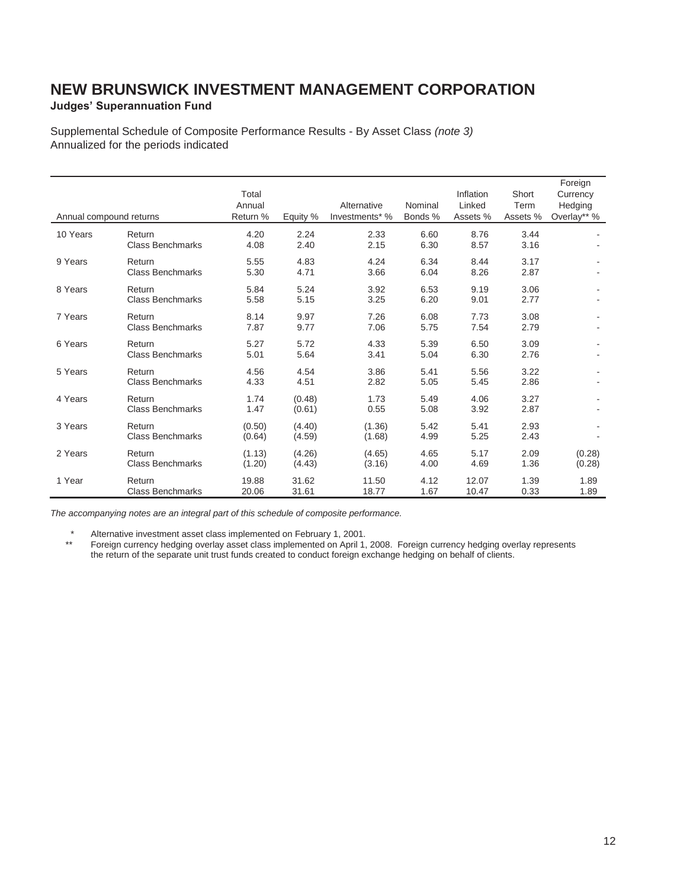### **Judges' Superannuation Fund**

Supplemental Schedule of Composite Performance Results - By Asset Class *(note 3)* Annualized for the periods indicated

| Annual compound returns |                                   | Total<br>Annual<br>Return % | Equity %         | Alternative<br>Investments* % | Nominal<br>Bonds % | Inflation<br>Linked<br>Assets % | Short<br>Term<br>Assets % | Foreign<br>Currency<br>Hedging<br>Overlay** % |
|-------------------------|-----------------------------------|-----------------------------|------------------|-------------------------------|--------------------|---------------------------------|---------------------------|-----------------------------------------------|
| 10 Years                | Return<br><b>Class Benchmarks</b> | 4.20<br>4.08                | 2.24<br>2.40     | 2.33<br>2.15                  | 6.60<br>6.30       | 8.76<br>8.57                    | 3.44<br>3.16              |                                               |
| 9 Years                 | Return<br><b>Class Benchmarks</b> | 5.55<br>5.30                | 4.83<br>4.71     | 4.24<br>3.66                  | 6.34<br>6.04       | 8.44<br>8.26                    | 3.17<br>2.87              |                                               |
| 8 Years                 | Return<br><b>Class Benchmarks</b> | 5.84<br>5.58                | 5.24<br>5.15     | 3.92<br>3.25                  | 6.53<br>6.20       | 9.19<br>9.01                    | 3.06<br>2.77              |                                               |
| 7 Years                 | Return<br><b>Class Benchmarks</b> | 8.14<br>7.87                | 9.97<br>9.77     | 7.26<br>7.06                  | 6.08<br>5.75       | 7.73<br>7.54                    | 3.08<br>2.79              |                                               |
| 6 Years                 | Return<br><b>Class Benchmarks</b> | 5.27<br>5.01                | 5.72<br>5.64     | 4.33<br>3.41                  | 5.39<br>5.04       | 6.50<br>6.30                    | 3.09<br>2.76              |                                               |
| 5 Years                 | Return<br><b>Class Benchmarks</b> | 4.56<br>4.33                | 4.54<br>4.51     | 3.86<br>2.82                  | 5.41<br>5.05       | 5.56<br>5.45                    | 3.22<br>2.86              |                                               |
| 4 Years                 | Return<br><b>Class Benchmarks</b> | 1.74<br>1.47                | (0.48)<br>(0.61) | 1.73<br>0.55                  | 5.49<br>5.08       | 4.06<br>3.92                    | 3.27<br>2.87              |                                               |
| 3 Years                 | Return<br><b>Class Benchmarks</b> | (0.50)<br>(0.64)            | (4.40)<br>(4.59) | (1.36)<br>(1.68)              | 5.42<br>4.99       | 5.41<br>5.25                    | 2.93<br>2.43              |                                               |
| 2 Years                 | Return<br><b>Class Benchmarks</b> | (1.13)<br>(1.20)            | (4.26)<br>(4.43) | (4.65)<br>(3.16)              | 4.65<br>4.00       | 5.17<br>4.69                    | 2.09<br>1.36              | (0.28)<br>(0.28)                              |
| 1 Year                  | Return<br><b>Class Benchmarks</b> | 19.88<br>20.06              | 31.62<br>31.61   | 11.50<br>18.77                | 4.12<br>1.67       | 12.07<br>10.47                  | 1.39<br>0.33              | 1.89<br>1.89                                  |

*The accompanying notes are an integral part of this schedule of composite performance.* 

\* Alternative investment asset class implemented on February 1, 2001.

 \*\* Foreign currency hedging overlay asset class implemented on April 1, 2008. Foreign currency hedging overlay represents the return of the separate unit trust funds created to conduct foreign exchange hedging on behalf of clients.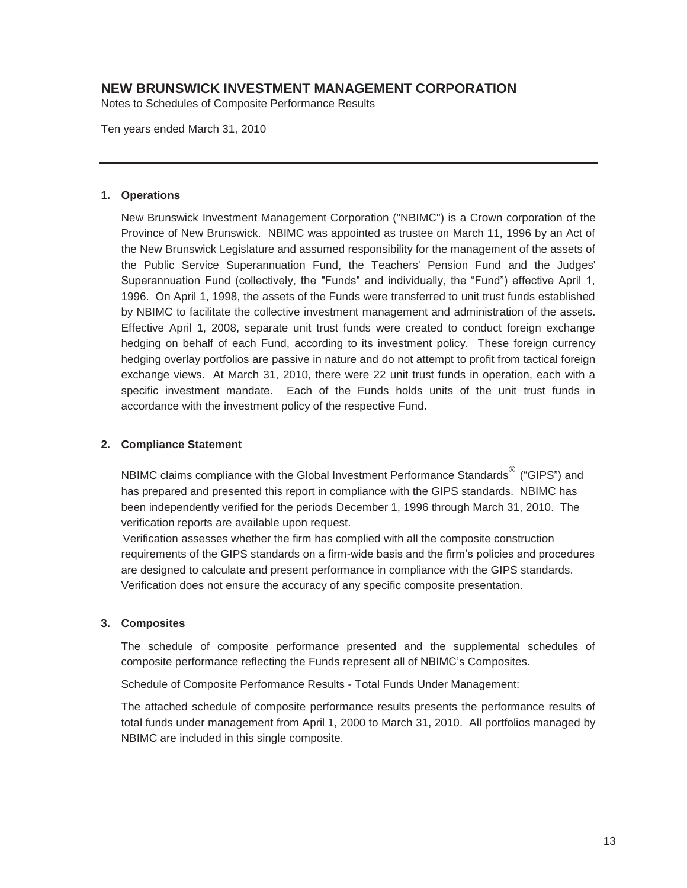Notes to Schedules of Composite Performance Results

Ten years ended March 31, 2010

#### **1. Operations**

New Brunswick Investment Management Corporation ("NBIMC") is a Crown corporation of the Province of New Brunswick. NBIMC was appointed as trustee on March 11, 1996 by an Act of the New Brunswick Legislature and assumed responsibility for the management of the assets of the Public Service Superannuation Fund, the Teachers' Pension Fund and the Judges' Superannuation Fund (collectively, the "Funds" and individually, the "Fund") effective April 1, 1996. On April 1, 1998, the assets of the Funds were transferred to unit trust funds established by NBIMC to facilitate the collective investment management and administration of the assets. Effective April 1, 2008, separate unit trust funds were created to conduct foreign exchange hedging on behalf of each Fund, according to its investment policy. These foreign currency hedging overlay portfolios are passive in nature and do not attempt to profit from tactical foreign exchange views. At March 31, 2010, there were 22 unit trust funds in operation, each with a specific investment mandate. Each of the Funds holds units of the unit trust funds in accordance with the investment policy of the respective Fund.

#### **2. Compliance Statement**

NBIMC claims compliance with the Global Investment Performance Standards<sup>®</sup> ("GIPS") and has prepared and presented this report in compliance with the GIPS standards. NBIMC has been independently verified for the periods December 1, 1996 through March 31, 2010. The verification reports are available upon request.

 Verification assesses whether the firm has complied with all the composite construction requirements of the GIPS standards on a firm-wide basis and the firm's policies and procedures are designed to calculate and present performance in compliance with the GIPS standards. Verification does not ensure the accuracy of any specific composite presentation.

#### **3. Composites**

The schedule of composite performance presented and the supplemental schedules of composite performance reflecting the Funds represent all of NBIMC's Composites.

#### Schedule of Composite Performance Results - Total Funds Under Management:

The attached schedule of composite performance results presents the performance results of total funds under management from April 1, 2000 to March 31, 2010. All portfolios managed by NBIMC are included in this single composite.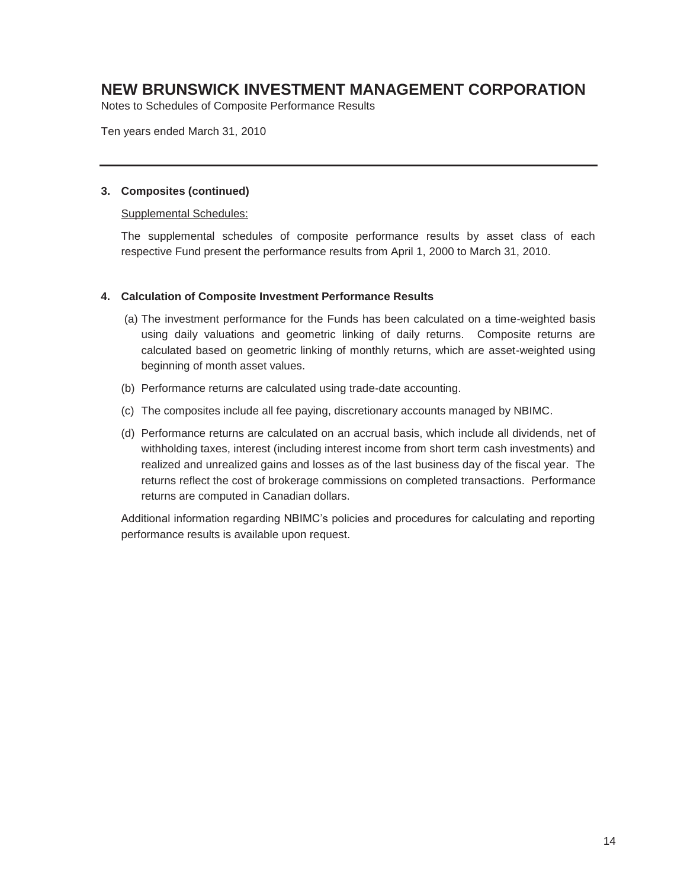Notes to Schedules of Composite Performance Results

Ten years ended March 31, 2010

#### **3. Composites (continued)**

#### Supplemental Schedules:

The supplemental schedules of composite performance results by asset class of each respective Fund present the performance results from April 1, 2000 to March 31, 2010.

#### **4. Calculation of Composite Investment Performance Results**

- (a) The investment performance for the Funds has been calculated on a time-weighted basis using daily valuations and geometric linking of daily returns. Composite returns are calculated based on geometric linking of monthly returns, which are asset-weighted using beginning of month asset values.
- (b) Performance returns are calculated using trade-date accounting.
- (c) The composites include all fee paying, discretionary accounts managed by NBIMC.
- (d) Performance returns are calculated on an accrual basis, which include all dividends, net of withholding taxes, interest (including interest income from short term cash investments) and realized and unrealized gains and losses as of the last business day of the fiscal year. The returns reflect the cost of brokerage commissions on completed transactions. Performance returns are computed in Canadian dollars.

Additional information regarding NBIMC's policies and procedures for calculating and reporting performance results is available upon request.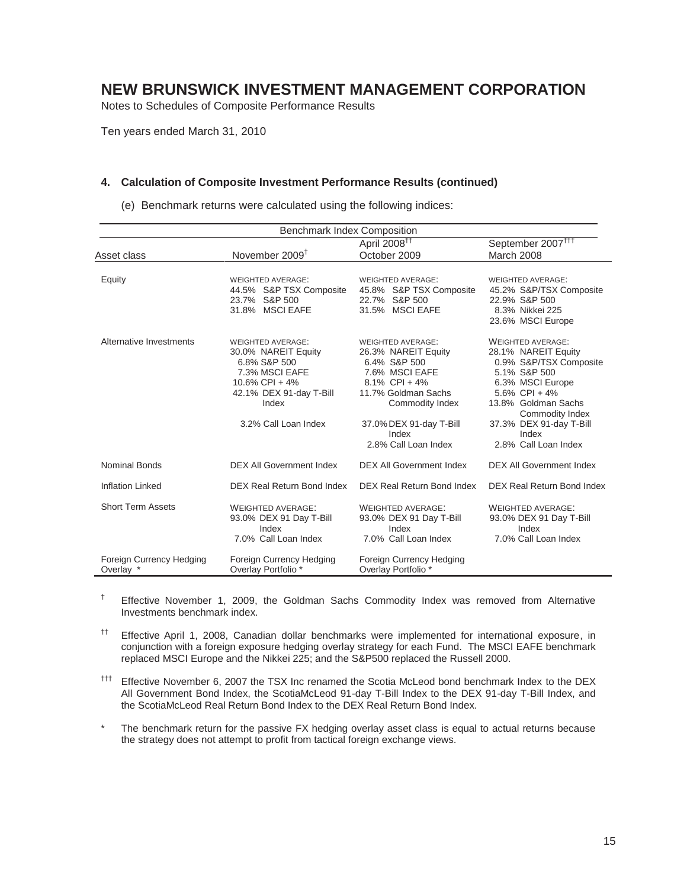Notes to Schedules of Composite Performance Results

Ten years ended March 31, 2010

#### **4. Calculation of Composite Investment Performance Results (continued)**

|  | (e) Benchmark returns were calculated using the following indices: |  |  |  |
|--|--------------------------------------------------------------------|--|--|--|
|  |                                                                    |  |  |  |

| <b>Benchmark Index Composition</b>    |                                                                                                                                                                    |                                                                                                                                                                                                             |                                                                                                                                                                                                                                        |  |
|---------------------------------------|--------------------------------------------------------------------------------------------------------------------------------------------------------------------|-------------------------------------------------------------------------------------------------------------------------------------------------------------------------------------------------------------|----------------------------------------------------------------------------------------------------------------------------------------------------------------------------------------------------------------------------------------|--|
|                                       |                                                                                                                                                                    | April 2008 <sup>11</sup>                                                                                                                                                                                    | September 2007 <sup>TTT</sup>                                                                                                                                                                                                          |  |
| Asset class                           | November 2009 <sup>†</sup>                                                                                                                                         | October 2009                                                                                                                                                                                                | March 2008                                                                                                                                                                                                                             |  |
| Equity                                | <b>WEIGHTED AVERAGE:</b><br>44.5% S&P TSX Composite<br>23.7% S&P 500<br>31.8% MSCI EAFE                                                                            | <b>WEIGHTED AVERAGE:</b><br>45.8% S&P TSX Composite<br>22.7% S&P 500<br>31.5% MSCI EAFE                                                                                                                     | <b>WEIGHTED AVERAGE:</b><br>45.2% S&P/TSX Composite<br>22.9% S&P 500<br>8.3% Nikkei 225<br>23.6% MSCI Europe                                                                                                                           |  |
| Alternative Investments               | <b>WEIGHTED AVERAGE:</b><br>30.0% NAREIT Equity<br>6.8% S&P 500<br>7.3% MSCI EAFE<br>$10.6\%$ CPI + 4%<br>42.1% DEX 91-day T-Bill<br>Index<br>3.2% Call Loan Index | <b>WEIGHTED AVERAGE:</b><br>26.3% NAREIT Equity<br>6.4% S&P 500<br>7.6% MSCI EAFE<br>8.1% CPI + $4\%$<br>11.7% Goldman Sachs<br>Commodity Index<br>37.0% DEX 91-day T-Bill<br>Index<br>2.8% Call Loan Index | <b>WEIGHTED AVERAGE:</b><br>28.1% NAREIT Equity<br>0.9% S&P/TSX Composite<br>5.1% S&P 500<br>6.3% MSCI Europe<br>5.6% $CPI + 4%$<br>13.8% Goldman Sachs<br>Commodity Index<br>37.3% DEX 91-day T-Bill<br>Index<br>2.8% Call Loan Index |  |
| <b>Nominal Bonds</b>                  | <b>DEX All Government Index</b>                                                                                                                                    | <b>DEX All Government Index</b>                                                                                                                                                                             | <b>DEX All Government Index</b>                                                                                                                                                                                                        |  |
| <b>Inflation Linked</b>               | DEX Real Return Bond Index                                                                                                                                         | DEX Real Return Bond Index                                                                                                                                                                                  | DEX Real Return Bond Index                                                                                                                                                                                                             |  |
| <b>Short Term Assets</b>              | <b>WEIGHTED AVERAGE:</b><br>93.0% DEX 91 Day T-Bill<br>Index<br>7.0% Call Loan Index                                                                               | <b>WEIGHTED AVERAGE:</b><br>93.0% DEX 91 Day T-Bill<br>Index<br>7.0% Call Loan Index                                                                                                                        | <b>WEIGHTED AVERAGE:</b><br>93.0% DEX 91 Day T-Bill<br>Index<br>7.0% Call Loan Index                                                                                                                                                   |  |
| Foreign Currency Hedging<br>Overlay * | Foreign Currency Hedging<br>Overlay Portfolio*                                                                                                                     | Foreign Currency Hedging<br>Overlay Portfolio*                                                                                                                                                              |                                                                                                                                                                                                                                        |  |

† Effective November 1, 2009, the Goldman Sachs Commodity Index was removed from Alternative Investments benchmark index.

- <sup>††</sup> Effective April 1, 2008, Canadian dollar benchmarks were implemented for international exposure, in conjunction with a foreign exposure hedging overlay strategy for each Fund. The MSCI EAFE benchmark replaced MSCI Europe and the Nikkei 225; and the S&P500 replaced the Russell 2000.
- ††† Effective November 6, 2007 the TSX Inc renamed the Scotia McLeod bond benchmark Index to the DEX All Government Bond Index, the ScotiaMcLeod 91-day T-Bill Index to the DEX 91-day T-Bill Index, and the ScotiaMcLeod Real Return Bond Index to the DEX Real Return Bond Index.
- The benchmark return for the passive FX hedging overlay asset class is equal to actual returns because the strategy does not attempt to profit from tactical foreign exchange views.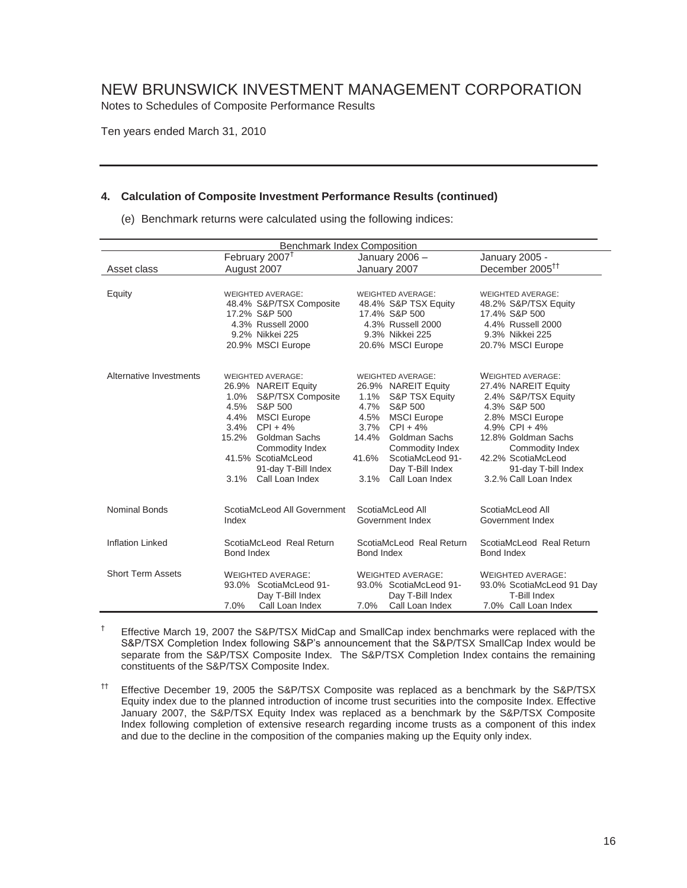Notes to Schedules of Composite Performance Results

Ten years ended March 31, 2010

#### **4. Calculation of Composite Investment Performance Results (continued)**

(e) Benchmark returns were calculated using the following indices:

| <b>Benchmark Index Composition</b>                                                                 |                                                                                                                                                                                                                                                                             |                                                                                                                                                                                                                                                                           |                                                                                                                                                                                                                                                |  |
|----------------------------------------------------------------------------------------------------|-----------------------------------------------------------------------------------------------------------------------------------------------------------------------------------------------------------------------------------------------------------------------------|---------------------------------------------------------------------------------------------------------------------------------------------------------------------------------------------------------------------------------------------------------------------------|------------------------------------------------------------------------------------------------------------------------------------------------------------------------------------------------------------------------------------------------|--|
|                                                                                                    | February 2007 <sup>†</sup>                                                                                                                                                                                                                                                  | January 2006 -                                                                                                                                                                                                                                                            | January 2005 -                                                                                                                                                                                                                                 |  |
| Asset class                                                                                        | August 2007                                                                                                                                                                                                                                                                 |                                                                                                                                                                                                                                                                           | December 2005 <sup>++</sup>                                                                                                                                                                                                                    |  |
|                                                                                                    |                                                                                                                                                                                                                                                                             |                                                                                                                                                                                                                                                                           |                                                                                                                                                                                                                                                |  |
| Equity                                                                                             | <b>WEIGHTED AVERAGE:</b><br>48.4% S&P/TSX Composite<br>17.2% S&P 500<br>4.3% Russell 2000<br>9.2% Nikkei 225<br>20.9% MSCI Europe                                                                                                                                           | <b>WEIGHTED AVERAGE:</b><br>48.4% S&P TSX Equity<br>17.4% S&P 500<br>4.3% Russell 2000<br>9.3% Nikkei 225<br>20.6% MSCI Europe                                                                                                                                            | <b>WEIGHTED AVERAGE:</b><br>48.2% S&P/TSX Equity<br>17.4% S&P 500<br>4.4% Russell 2000<br>9.3% Nikkei 225<br>20.7% MSCI Europe                                                                                                                 |  |
| Alternative Investments                                                                            | <b>WEIGHTED AVERAGE:</b><br>26.9% NAREIT Equity<br>1.0%<br>S&P/TSX Composite<br>S&P 500<br>4.5%<br>4.4%<br><b>MSCI</b> Europe<br>3.4%<br>$CPI + 4%$<br>15.2%<br>Goldman Sachs<br>Commodity Index<br>41.5% ScotiaMcLeod<br>91-day T-Bill Index<br>Call Loan Index<br>$3.1\%$ | <b>WEIGHTED AVERAGE:</b><br>26.9% NAREIT Equity<br>1.1%<br>S&P TSX Equity<br>S&P 500<br>4.7%<br>4.5%<br><b>MSCI Europe</b><br>3.7%<br>$CPI + 4%$<br>Goldman Sachs<br>14.4%<br>Commodity Index<br>41.6%<br>ScotiaMcLeod 91-<br>Day T-Bill Index<br>3.1%<br>Call Loan Index | <b>WEIGHTED AVERAGE:</b><br>27.4% NAREIT Equity<br>2.4% S&P/TSX Equity<br>4.3% S&P 500<br>2.8% MSCI Europe<br>4.9% CPI + $4\%$<br>12.8% Goldman Sachs<br>Commodity Index<br>42.2% ScotiaMcLeod<br>91-day T-bill Index<br>3.2.% Call Loan Index |  |
| Nominal Bonds<br>ScotiaMcLeod All Government<br>Index                                              |                                                                                                                                                                                                                                                                             | ScotiaMcLeod All<br>Government Index                                                                                                                                                                                                                                      | ScotiaMcLeod All<br>Government Index                                                                                                                                                                                                           |  |
| <b>Inflation Linked</b>                                                                            | ScotiaMcLeod Real Return<br>Bond Index                                                                                                                                                                                                                                      | ScotiaMcLeod Real Return<br>Bond Index                                                                                                                                                                                                                                    | ScotiaMcLeod Real Return<br>Bond Index                                                                                                                                                                                                         |  |
| <b>Short Term Assets</b><br><b>WEIGHTED AVERAGE:</b><br>93.0% ScotiaMcLeod 91-<br>Day T-Bill Index |                                                                                                                                                                                                                                                                             | <b>WEIGHTED AVERAGE:</b><br>93.0% ScotiaMcLeod 91-<br>Day T-Bill Index                                                                                                                                                                                                    | <b>WEIGHTED AVERAGE:</b><br>93.0% ScotiaMcLeod 91 Day<br>T-Bill Index                                                                                                                                                                          |  |
|                                                                                                    | Call Loan Index<br>7.0%                                                                                                                                                                                                                                                     | Call Loan Index<br>7.0%                                                                                                                                                                                                                                                   | 7.0% Call Loan Index                                                                                                                                                                                                                           |  |

 $^{\dagger}$  Effective March 19, 2007 the S&P/TSX MidCap and SmallCap index benchmarks were replaced with the S&P/TSX Completion Index following S&P's announcement that the S&P/TSX SmallCap Index would be separate from the S&P/TSX Composite Index. The S&P/TSX Completion Index contains the remaining constituents of the S&P/TSX Composite Index.

†† Effective December 19, 2005 the S&P/TSX Composite was replaced as a benchmark by the S&P/TSX Equity index due to the planned introduction of income trust securities into the composite Index. Effective January 2007, the S&P/TSX Equity Index was replaced as a benchmark by the S&P/TSX Composite Index following completion of extensive research regarding income trusts as a component of this index and due to the decline in the composition of the companies making up the Equity only index.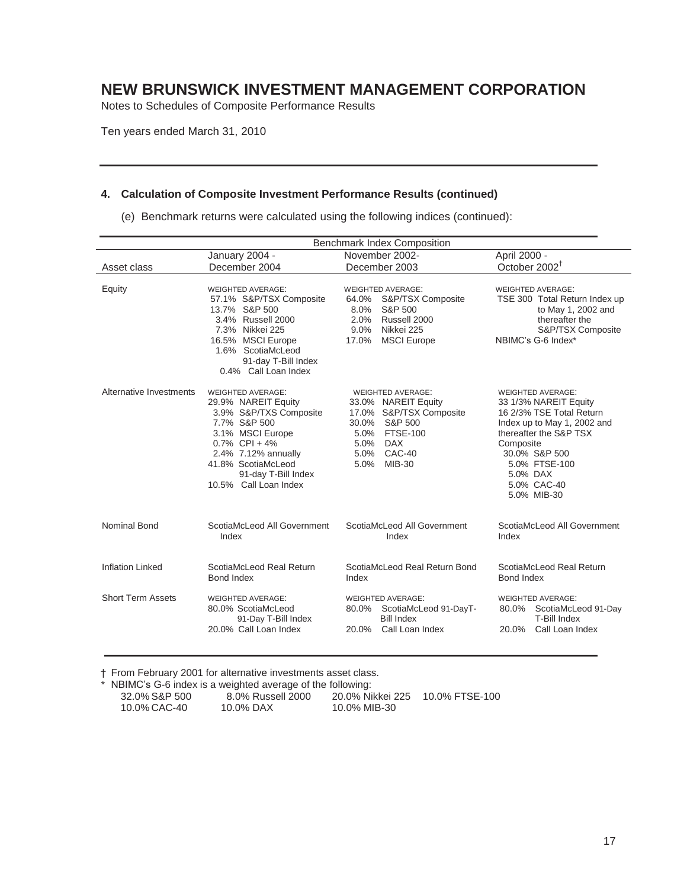Notes to Schedules of Composite Performance Results

Ten years ended March 31, 2010

#### **4. Calculation of Composite Investment Performance Results (continued)**

(e) Benchmark returns were calculated using the following indices (continued):

|                          | <b>Benchmark Index Composition</b>                                                                                                                                                                                             |                                                                                                                                                                           |                                                                                                                                                                                                                                 |  |
|--------------------------|--------------------------------------------------------------------------------------------------------------------------------------------------------------------------------------------------------------------------------|---------------------------------------------------------------------------------------------------------------------------------------------------------------------------|---------------------------------------------------------------------------------------------------------------------------------------------------------------------------------------------------------------------------------|--|
|                          | January 2004 -                                                                                                                                                                                                                 | November 2002-                                                                                                                                                            | April 2000 -                                                                                                                                                                                                                    |  |
| Asset class              | December 2004                                                                                                                                                                                                                  | December 2003                                                                                                                                                             | October 2002 <sup>†</sup>                                                                                                                                                                                                       |  |
| Equity                   | <b>WEIGHTED AVERAGE:</b><br>57.1% S&P/TSX Composite<br>13.7% S&P 500<br>3.4% Russell 2000<br>7.3% Nikkei 225<br>16.5% MSCI Europe<br>1.6% ScotiaMcLeod<br>91-day T-Bill Index<br>0.4% Call Loan Index                          | <b>WEIGHTED AVERAGE:</b><br>64.0%<br>S&P/TSX Composite<br>S&P 500<br>$8.0\%$<br>2.0%<br>Russell 2000<br>$9.0\%$<br>Nikkei 225<br>17.0%<br><b>MSCI</b> Europe              | <b>WEIGHTED AVERAGE:</b><br>TSE 300 Total Return Index up<br>to May 1, 2002 and<br>thereafter the<br>S&P/TSX Composite<br>NBIMC's G-6 Index*                                                                                    |  |
| Alternative Investments  | <b>WEIGHTED AVERAGE:</b><br>29.9% NAREIT Equity<br>3.9% S&P/TXS Composite<br>7.7% S&P 500<br>3.1% MSCI Europe<br>$0.7\%$ CPI + 4%<br>2.4% 7.12% annually<br>41.8% ScotiaMcLeod<br>91-day T-Bill Index<br>10.5% Call Loan Index | <b>WEIGHTED AVERAGE:</b><br>33.0% NAREIT Equity<br>17.0% S&P/TSX Composite<br>30.0%<br>S&P 500<br><b>FTSE-100</b><br>5.0%<br>5.0%<br>DAX<br>5.0% CAC-40<br>MIB-30<br>5.0% | <b>WEIGHTED AVERAGE:</b><br>33 1/3% NAREIT Equity<br>16 2/3% TSE Total Return<br>Index up to May 1, 2002 and<br>thereafter the S&P TSX<br>Composite<br>30.0% S&P 500<br>5.0% FTSE-100<br>5.0% DAX<br>5.0% CAC-40<br>5.0% MIB-30 |  |
| <b>Nominal Bond</b>      | ScotiaMcLeod All Government<br>Index                                                                                                                                                                                           | ScotiaMcLeod All Government<br>Index                                                                                                                                      | ScotiaMcLeod All Government<br>Index                                                                                                                                                                                            |  |
| <b>Inflation Linked</b>  | ScotiaMcLeod Real Return<br>Bond Index                                                                                                                                                                                         | ScotiaMcLeod Real Return Bond<br>Index                                                                                                                                    | ScotiaMcLeod Real Return<br>Bond Index                                                                                                                                                                                          |  |
| <b>Short Term Assets</b> | <b>WEIGHTED AVERAGE:</b><br>80.0% ScotiaMcLeod<br>91-Day T-Bill Index<br>20.0% Call Loan Index                                                                                                                                 | <b>WEIGHTED AVERAGE:</b><br>80.0% ScotiaMcLeod 91-DayT-<br><b>Bill Index</b><br>Call Loan Index<br>20.0%                                                                  | <b>WEIGHTED AVERAGE:</b><br>80.0% ScotiaMcLeod 91-Day<br><b>T-Bill Index</b><br>Call Loan Index<br>20.0%                                                                                                                        |  |

† From February 2001 for alternative investments asset class.

\* NBIMC's G-6 index is a weighted average of the following: 32.0% S&P 500 8.0% Russell 2000 20.0% Nikkei 225 10.0% FTSE-100 10.0% CAC-40 10.0% DAX 10.0% MIB-30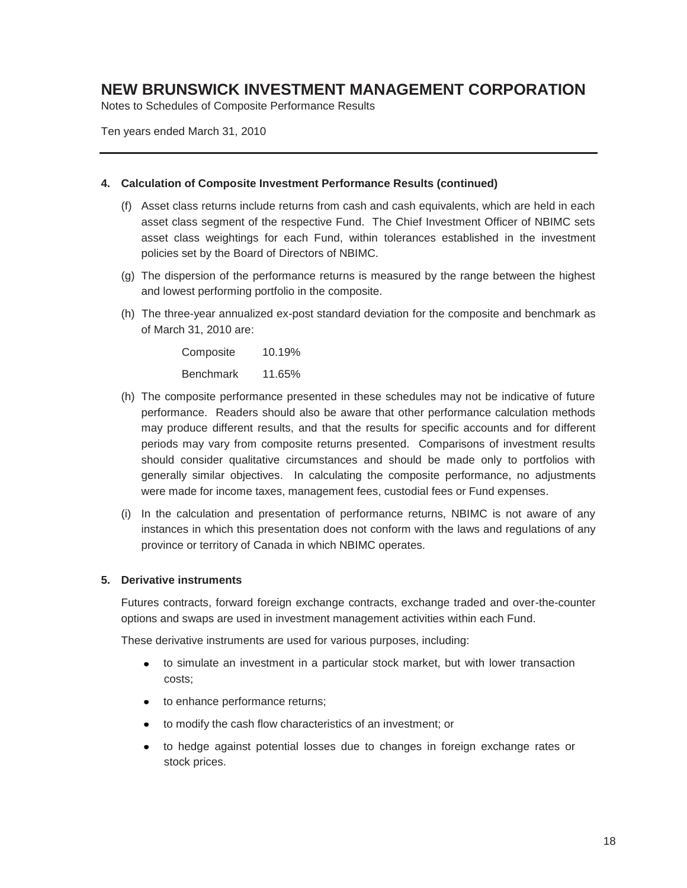Notes to Schedules of Composite Performance Results

Ten years ended March 31, 2010

#### **4. Calculation of Composite Investment Performance Results (continued)**

- (f) Asset class returns include returns from cash and cash equivalents, which are held in each asset class segment of the respective Fund. The Chief Investment Officer of NBIMC sets asset class weightings for each Fund, within tolerances established in the investment policies set by the Board of Directors of NBIMC.
- (g) The dispersion of the performance returns is measured by the range between the highest and lowest performing portfolio in the composite.
- (h) The three-year annualized ex-post standard deviation for the composite and benchmark as of March 31, 2010 are:

 Composite 10.19% Benchmark 11.65%

- (h) The composite performance presented in these schedules may not be indicative of future performance. Readers should also be aware that other performance calculation methods may produce different results, and that the results for specific accounts and for different periods may vary from composite returns presented. Comparisons of investment results should consider qualitative circumstances and should be made only to portfolios with generally similar objectives. In calculating the composite performance, no adjustments were made for income taxes, management fees, custodial fees or Fund expenses.
- (i) In the calculation and presentation of performance returns, NBIMC is not aware of any instances in which this presentation does not conform with the laws and regulations of any province or territory of Canada in which NBIMC operates.

#### **5. Derivative instruments**

Futures contracts, forward foreign exchange contracts, exchange traded and over-the-counter options and swaps are used in investment management activities within each Fund.

These derivative instruments are used for various purposes, including:

- to simulate an investment in a particular stock market, but with lower transaction costs;
- to enhance performance returns;
- to modify the cash flow characteristics of an investment; or
- to hedge against potential losses due to changes in foreign exchange rates or stock prices.